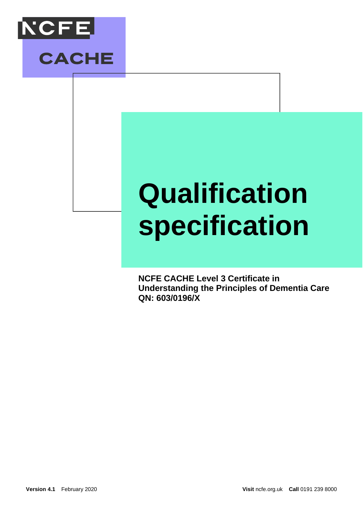



# **Qualification specification**

**NCFE CACHE Level 3 Certificate in Understanding the Principles of Dementia Care QN: 603/0196/X**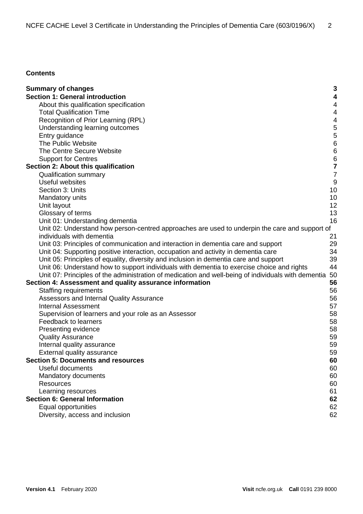# **Contents**

| <b>Summary of changes</b><br><b>Section 1: General introduction</b>                                 | 3                   |
|-----------------------------------------------------------------------------------------------------|---------------------|
|                                                                                                     | 4                   |
| About this qualification specification<br><b>Total Qualification Time</b>                           | 4<br>$\overline{4}$ |
| Recognition of Prior Learning (RPL)                                                                 | 4                   |
| Understanding learning outcomes                                                                     | 5                   |
| Entry guidance                                                                                      | 5                   |
| The Public Website                                                                                  | $\overline{6}$      |
| The Centre Secure Website                                                                           | $\overline{6}$      |
| <b>Support for Centres</b>                                                                          | $\overline{6}$      |
| Section 2: About this qualification                                                                 | 7                   |
| <b>Qualification summary</b>                                                                        | $\overline{7}$      |
| Useful websites                                                                                     | 9                   |
| Section 3: Units                                                                                    | 10                  |
| Mandatory units                                                                                     | 10                  |
| Unit layout                                                                                         | 12                  |
| Glossary of terms                                                                                   | 13                  |
| Unit 01: Understanding dementia                                                                     | 16                  |
| Unit 02: Understand how person-centred approaches are used to underpin the care and support of      |                     |
| individuals with dementia                                                                           | 21                  |
| Unit 03: Principles of communication and interaction in dementia care and support                   | 29                  |
| Unit 04: Supporting positive interaction, occupation and activity in dementia care                  | 34                  |
| Unit 05: Principles of equality, diversity and inclusion in dementia care and support               | 39                  |
| Unit 06: Understand how to support individuals with dementia to exercise choice and rights          | 44                  |
| Unit 07: Principles of the administration of medication and well-being of individuals with dementia | 50                  |
| Section 4: Assessment and quality assurance information                                             | 56                  |
| <b>Staffing requirements</b>                                                                        | 56                  |
| Assessors and Internal Quality Assurance                                                            | 56                  |
| <b>Internal Assessment</b>                                                                          | 57                  |
| Supervision of learners and your role as an Assessor                                                | 58                  |
| Feedback to learners                                                                                | 58                  |
| Presenting evidence                                                                                 | 58                  |
| <b>Quality Assurance</b>                                                                            | 59                  |
| Internal quality assurance                                                                          | 59                  |
| <b>External quality assurance</b>                                                                   | 59                  |
| <b>Section 5: Documents and resources</b>                                                           | 60                  |
| <b>Useful documents</b>                                                                             | 60                  |
| Mandatory documents                                                                                 | 60                  |
| <b>Resources</b>                                                                                    | 60                  |
| Learning resources                                                                                  | 61                  |
| <b>Section 6: General Information</b>                                                               | 62                  |
| Equal opportunities                                                                                 | 62                  |
| Diversity, access and inclusion                                                                     | 62                  |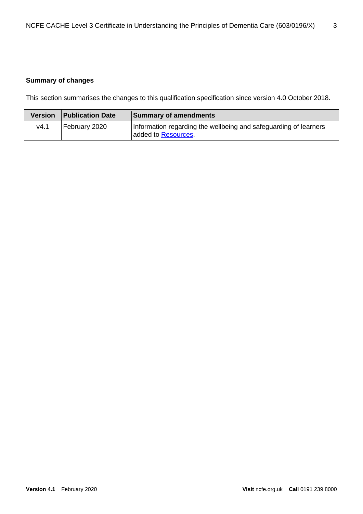#### **Summary of changes**

This section summarises the changes to this qualification specification since version 4.0 October 2018.

|      | Version   Publication Date | Summary of amendments                                                                   |
|------|----------------------------|-----------------------------------------------------------------------------------------|
| V4.1 | February 2020              | Information regarding the wellbeing and safeguarding of learners<br>added to Resources. |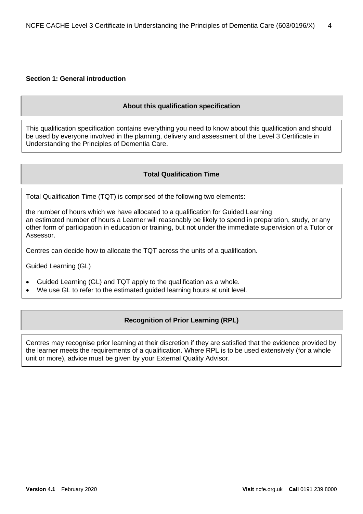#### **Section 1: General introduction**

#### **About this qualification specification**

This qualification specification contains everything you need to know about this qualification and should be used by everyone involved in the planning, delivery and assessment of the Level 3 Certificate in Understanding the Principles of Dementia Care.

#### **Total Qualification Time**

Total Qualification Time (TQT) is comprised of the following two elements:

the number of hours which we have allocated to a qualification for Guided Learning an estimated number of hours a Learner will reasonably be likely to spend in preparation, study, or any other form of participation in education or training, but not under the immediate supervision of a Tutor or Assessor.

Centres can decide how to allocate the TQT across the units of a qualification.

Guided Learning (GL)

- Guided Learning (GL) and TQT apply to the qualification as a whole.
- We use GL to refer to the estimated guided learning hours at unit level.

#### **Recognition of Prior Learning (RPL)**

Centres may recognise prior learning at their discretion if they are satisfied that the evidence provided by the learner meets the requirements of a qualification. Where RPL is to be used extensively (for a whole unit or more), advice must be given by your External Quality Advisor.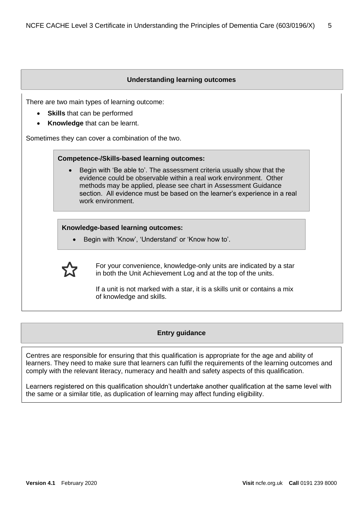#### **Understanding learning outcomes**

There are two main types of learning outcome:

- **Skills** that can be performed
- **Knowledge** that can be learnt.

Sometimes they can cover a combination of the two.

#### **Competence-/Skills-based learning outcomes:**

• Begin with 'Be able to'. The assessment criteria usually show that the evidence could be observable within a real work environment. Other methods may be applied, please see chart in Assessment Guidance section. All evidence must be based on the learner's experience in a real work environment.

#### **Knowledge-based learning outcomes:**

• Begin with 'Know', 'Understand' or 'Know how to'.

For your convenience, knowledge-only units are indicated by a star in both the Unit Achievement Log and at the top of the units.

If a unit is not marked with a star, it is a skills unit or contains a mix of knowledge and skills.

#### **Entry guidance**

Centres are responsible for ensuring that this qualification is appropriate for the age and ability of learners. They need to make sure that learners can fulfil the requirements of the learning outcomes and comply with the relevant literacy, numeracy and health and safety aspects of this qualification.

Learners registered on this qualification shouldn't undertake another qualification at the same level with the same or a similar title, as duplication of learning may affect funding eligibility.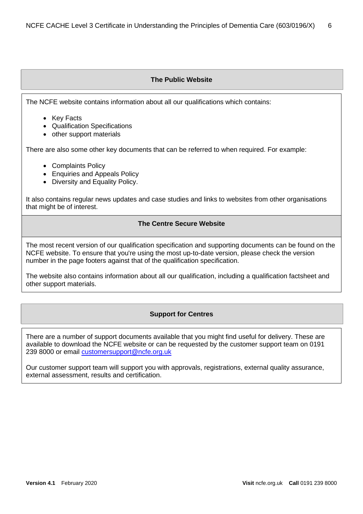## **The Public Website**

The NCFE website contains information about all our qualifications which contains:

- Key Facts
- Qualification Specifications
- other support materials

There are also some other key documents that can be referred to when required. For example:

- Complaints Policy
- Enquiries and Appeals Policy
- Diversity and Equality Policy.

It also contains regular news updates and case studies and links to websites from other organisations that might be of interest.

#### **The Centre Secure Website**

The most recent version of our qualification specification and supporting documents can be found on the NCFE website. To ensure that you're using the most up-to-date version, please check the version number in the page footers against that of the qualification specification.

The website also contains information about all our qualification, including a qualification factsheet and other support materials.

#### **Support for Centres**

There are a number of support documents available that you might find useful for delivery. These are available to download the NCFE website or can be requested by the customer support team on 0191 239 8000 or email [customersupport@ncfe.org.uk](mailto:customersupport@ncfe.org.uk)

Our customer support team will support you with approvals, registrations, external quality assurance, external assessment, results and certification.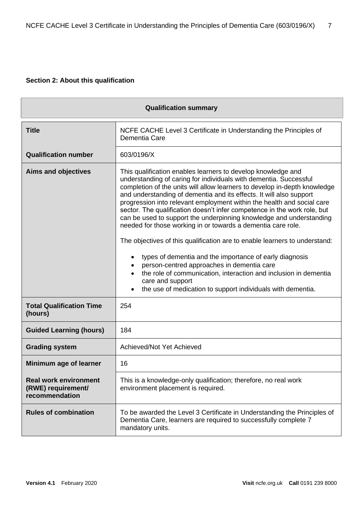# **Section 2: About this qualification**

| <b>Qualification summary</b>                                         |                                                                                                                                                                                                                                                                                                                                                                                                                                                                                                                                                                                                                                                                                                                                                                                                                                                                                                                                  |  |  |
|----------------------------------------------------------------------|----------------------------------------------------------------------------------------------------------------------------------------------------------------------------------------------------------------------------------------------------------------------------------------------------------------------------------------------------------------------------------------------------------------------------------------------------------------------------------------------------------------------------------------------------------------------------------------------------------------------------------------------------------------------------------------------------------------------------------------------------------------------------------------------------------------------------------------------------------------------------------------------------------------------------------|--|--|
| <b>Title</b>                                                         | NCFE CACHE Level 3 Certificate in Understanding the Principles of<br>Dementia Care                                                                                                                                                                                                                                                                                                                                                                                                                                                                                                                                                                                                                                                                                                                                                                                                                                               |  |  |
| <b>Qualification number</b>                                          | 603/0196/X                                                                                                                                                                                                                                                                                                                                                                                                                                                                                                                                                                                                                                                                                                                                                                                                                                                                                                                       |  |  |
| <b>Aims and objectives</b>                                           | This qualification enables learners to develop knowledge and<br>understanding of caring for individuals with dementia. Successful<br>completion of the units will allow learners to develop in-depth knowledge<br>and understanding of dementia and its effects. It will also support<br>progression into relevant employment within the health and social care<br>sector. The qualification doesn't infer competence in the work role, but<br>can be used to support the underpinning knowledge and understanding<br>needed for those working in or towards a dementia care role.<br>The objectives of this qualification are to enable learners to understand:<br>types of dementia and the importance of early diagnosis<br>person-centred approaches in dementia care<br>the role of communication, interaction and inclusion in dementia<br>care and support<br>the use of medication to support individuals with dementia. |  |  |
| <b>Total Qualification Time</b><br>(hours)                           | 254                                                                                                                                                                                                                                                                                                                                                                                                                                                                                                                                                                                                                                                                                                                                                                                                                                                                                                                              |  |  |
| <b>Guided Learning (hours)</b>                                       | 184                                                                                                                                                                                                                                                                                                                                                                                                                                                                                                                                                                                                                                                                                                                                                                                                                                                                                                                              |  |  |
| <b>Grading system</b>                                                | Achieved/Not Yet Achieved                                                                                                                                                                                                                                                                                                                                                                                                                                                                                                                                                                                                                                                                                                                                                                                                                                                                                                        |  |  |
| Minimum age of learner                                               | 16                                                                                                                                                                                                                                                                                                                                                                                                                                                                                                                                                                                                                                                                                                                                                                                                                                                                                                                               |  |  |
| <b>Real work environment</b><br>(RWE) requirement/<br>recommendation | This is a knowledge-only qualification; therefore, no real work<br>environment placement is required.                                                                                                                                                                                                                                                                                                                                                                                                                                                                                                                                                                                                                                                                                                                                                                                                                            |  |  |
| <b>Rules of combination</b>                                          | To be awarded the Level 3 Certificate in Understanding the Principles of<br>Dementia Care, learners are required to successfully complete 7<br>mandatory units.                                                                                                                                                                                                                                                                                                                                                                                                                                                                                                                                                                                                                                                                                                                                                                  |  |  |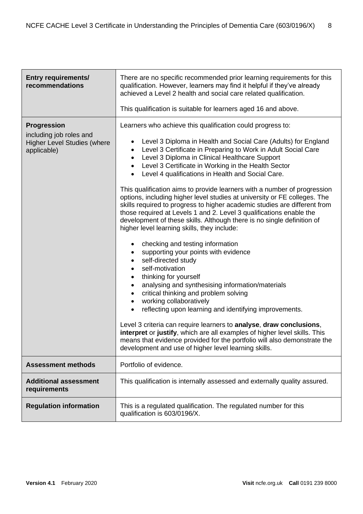| <b>Entry requirements/</b><br>recommendations                                                      | There are no specific recommended prior learning requirements for this<br>qualification. However, learners may find it helpful if they've already<br>achieved a Level 2 health and social care related qualification.<br>This qualification is suitable for learners aged 16 and above.                                                                                                                                                                                                                                                                                                                                                                                                                                                                                                                                                                                                                                                                                                                                                                                                                                                                                                                                                                                                                                                                                                                                                                                                                                                                                                                          |  |
|----------------------------------------------------------------------------------------------------|------------------------------------------------------------------------------------------------------------------------------------------------------------------------------------------------------------------------------------------------------------------------------------------------------------------------------------------------------------------------------------------------------------------------------------------------------------------------------------------------------------------------------------------------------------------------------------------------------------------------------------------------------------------------------------------------------------------------------------------------------------------------------------------------------------------------------------------------------------------------------------------------------------------------------------------------------------------------------------------------------------------------------------------------------------------------------------------------------------------------------------------------------------------------------------------------------------------------------------------------------------------------------------------------------------------------------------------------------------------------------------------------------------------------------------------------------------------------------------------------------------------------------------------------------------------------------------------------------------------|--|
| <b>Progression</b><br>including job roles and<br><b>Higher Level Studies (where</b><br>applicable) | Learners who achieve this qualification could progress to:<br>Level 3 Diploma in Health and Social Care (Adults) for England<br>$\bullet$<br>Level 3 Certificate in Preparing to Work in Adult Social Care<br>$\bullet$<br>Level 3 Diploma in Clinical Healthcare Support<br>$\bullet$<br>Level 3 Certificate in Working in the Health Sector<br>$\bullet$<br>Level 4 qualifications in Health and Social Care.<br>$\bullet$<br>This qualification aims to provide learners with a number of progression<br>options, including higher level studies at university or FE colleges. The<br>skills required to progress to higher academic studies are different from<br>those required at Levels 1 and 2. Level 3 qualifications enable the<br>development of these skills. Although there is no single definition of<br>higher level learning skills, they include:<br>checking and testing information<br>$\bullet$<br>supporting your points with evidence<br>$\bullet$<br>self-directed study<br>$\bullet$<br>self-motivation<br>$\bullet$<br>thinking for yourself<br>$\bullet$<br>analysing and synthesising information/materials<br>$\bullet$<br>critical thinking and problem solving<br>$\bullet$<br>working collaboratively<br>$\bullet$<br>reflecting upon learning and identifying improvements.<br>$\bullet$<br>Level 3 criteria can require learners to analyse, draw conclusions,<br>interpret or justify, which are all examples of higher level skills. This<br>means that evidence provided for the portfolio will also demonstrate the<br>development and use of higher level learning skills. |  |
| <b>Assessment methods</b>                                                                          | Portfolio of evidence.                                                                                                                                                                                                                                                                                                                                                                                                                                                                                                                                                                                                                                                                                                                                                                                                                                                                                                                                                                                                                                                                                                                                                                                                                                                                                                                                                                                                                                                                                                                                                                                           |  |
| <b>Additional assessment</b><br>requirements                                                       | This qualification is internally assessed and externally quality assured.                                                                                                                                                                                                                                                                                                                                                                                                                                                                                                                                                                                                                                                                                                                                                                                                                                                                                                                                                                                                                                                                                                                                                                                                                                                                                                                                                                                                                                                                                                                                        |  |
| <b>Regulation information</b>                                                                      | This is a regulated qualification. The regulated number for this<br>qualification is 603/0196/X.                                                                                                                                                                                                                                                                                                                                                                                                                                                                                                                                                                                                                                                                                                                                                                                                                                                                                                                                                                                                                                                                                                                                                                                                                                                                                                                                                                                                                                                                                                                 |  |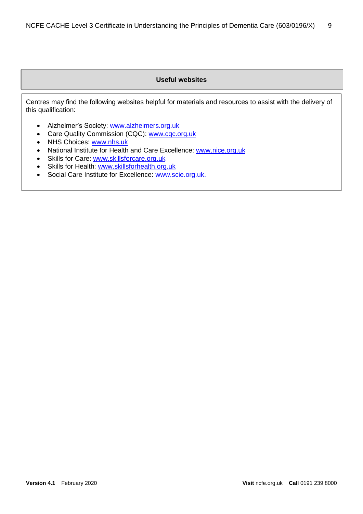# **Useful websites**

Centres may find the following websites helpful for materials and resources to assist with the delivery of this qualification:

- Alzheimer's Society: [www.alzheimers.org.uk](http://www.alzheimers.org.uk/)
- Care Quality Commission (CQC): [www.cqc.org.uk](http://www.cqc.org.uk/)
- NHS Choices: [www.nhs.uk](http://www.nhs.uk/)
- National Institute for Health and Care Excellence: [www.nice.org.uk](http://www.nice.org.uk/)
- Skills for Care: [www.skillsforcare.org.uk](http://www.skillsforcare.org.uk/)
- Skills for Health: [www.skillsforhealth.org.uk](http://www.skillsforhealth.org.uk/)
- Social Care Institute for Excellence: [www.scie.org.uk.](http://www.scie.org.uk/)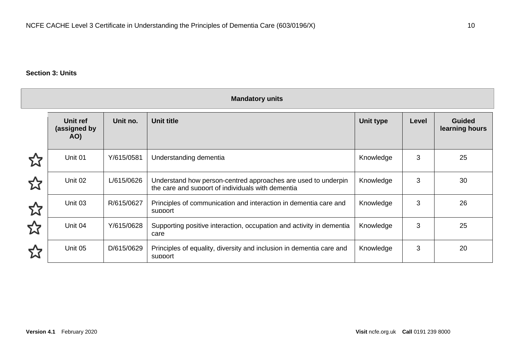## **Section 3: Units**

|   | <b>Mandatory units</b>          |            |                                                                                                                    |           |       |                                 |
|---|---------------------------------|------------|--------------------------------------------------------------------------------------------------------------------|-----------|-------|---------------------------------|
|   | Unit ref<br>(assigned by<br>AO) | Unit no.   | Unit title                                                                                                         | Unit type | Level | <b>Guided</b><br>learning hours |
|   | Unit 01                         | Y/615/0581 | Understanding dementia                                                                                             | Knowledge | 3     | 25                              |
|   | Unit 02                         | L/615/0626 | Understand how person-centred approaches are used to underpin<br>the care and support of individuals with dementia | Knowledge | 3     | 30                              |
| 公 | Unit 03                         | R/615/0627 | Principles of communication and interaction in dementia care and<br>support                                        | Knowledge | 3     | 26                              |
|   | Unit 04                         | Y/615/0628 | Supporting positive interaction, occupation and activity in dementia<br>care                                       | Knowledge | 3     | 25                              |
|   | Unit 05                         | D/615/0629 | Principles of equality, diversity and inclusion in dementia care and<br>support                                    | Knowledge | 3     | 20                              |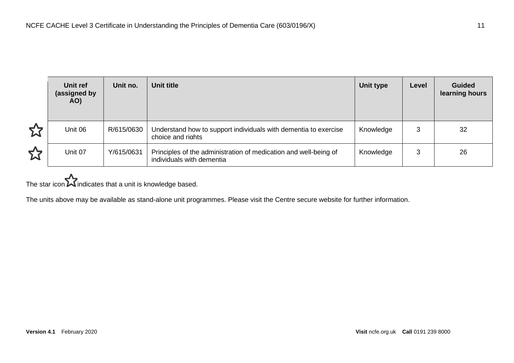|   | Unit ref<br>(assigned by<br>AO) | Unit no.   | Unit title                                                                                    | Unit type | Level | <b>Guided</b><br>learning hours |
|---|---------------------------------|------------|-----------------------------------------------------------------------------------------------|-----------|-------|---------------------------------|
| 公 | Unit 06                         | R/615/0630 | Understand how to support individuals with dementia to exercise<br>choice and rights          | Knowledge |       | 32                              |
| 公 | Unit 07                         | Y/615/0631 | Principles of the administration of medication and well-being of<br>individuals with dementia | Knowledge |       | 26                              |

# The star icon  $\sum$  indicates that a unit is knowledge based.

The units above may be available as stand-alone unit programmes. Please visit the Centre secure website for further information.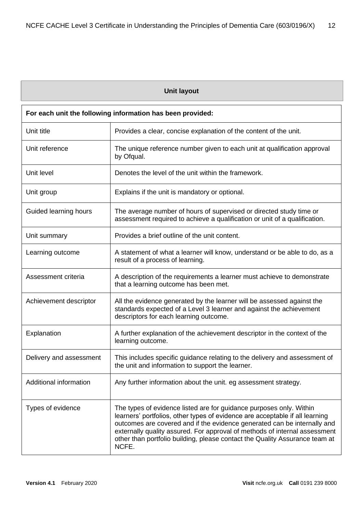# **Unit layout**

| For each unit the following information has been provided: |                                                                                                                                                                                                                                                                                                                                                                                                       |  |  |
|------------------------------------------------------------|-------------------------------------------------------------------------------------------------------------------------------------------------------------------------------------------------------------------------------------------------------------------------------------------------------------------------------------------------------------------------------------------------------|--|--|
| Unit title                                                 | Provides a clear, concise explanation of the content of the unit.                                                                                                                                                                                                                                                                                                                                     |  |  |
| Unit reference                                             | The unique reference number given to each unit at qualification approval<br>by Ofqual.                                                                                                                                                                                                                                                                                                                |  |  |
| Unit level                                                 | Denotes the level of the unit within the framework.                                                                                                                                                                                                                                                                                                                                                   |  |  |
| Unit group                                                 | Explains if the unit is mandatory or optional.                                                                                                                                                                                                                                                                                                                                                        |  |  |
| Guided learning hours                                      | The average number of hours of supervised or directed study time or<br>assessment required to achieve a qualification or unit of a qualification.                                                                                                                                                                                                                                                     |  |  |
| Unit summary                                               | Provides a brief outline of the unit content.                                                                                                                                                                                                                                                                                                                                                         |  |  |
| Learning outcome                                           | A statement of what a learner will know, understand or be able to do, as a<br>result of a process of learning.                                                                                                                                                                                                                                                                                        |  |  |
| Assessment criteria                                        | A description of the requirements a learner must achieve to demonstrate<br>that a learning outcome has been met.                                                                                                                                                                                                                                                                                      |  |  |
| Achievement descriptor                                     | All the evidence generated by the learner will be assessed against the<br>standards expected of a Level 3 learner and against the achievement<br>descriptors for each learning outcome.                                                                                                                                                                                                               |  |  |
| Explanation                                                | A further explanation of the achievement descriptor in the context of the<br>learning outcome.                                                                                                                                                                                                                                                                                                        |  |  |
| Delivery and assessment                                    | This includes specific guidance relating to the delivery and assessment of<br>the unit and information to support the learner.                                                                                                                                                                                                                                                                        |  |  |
| Additional information                                     | Any further information about the unit. eg assessment strategy.                                                                                                                                                                                                                                                                                                                                       |  |  |
| Types of evidence                                          | The types of evidence listed are for guidance purposes only. Within<br>learners' portfolios, other types of evidence are acceptable if all learning<br>outcomes are covered and if the evidence generated can be internally and<br>externally quality assured. For approval of methods of internal assessment<br>other than portfolio building, please contact the Quality Assurance team at<br>NCFE. |  |  |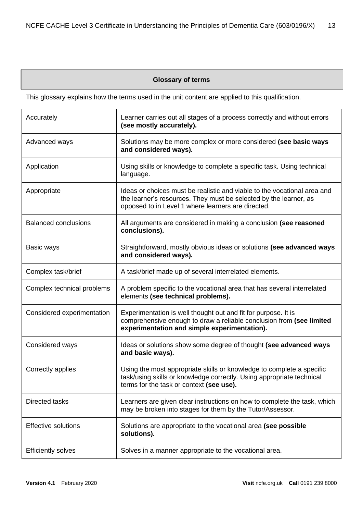#### **Glossary of terms**

This glossary explains how the terms used in the unit content are applied to this qualification.

| Accurately                  | Learner carries out all stages of a process correctly and without errors<br>(see mostly accurately).                                                                                                |
|-----------------------------|-----------------------------------------------------------------------------------------------------------------------------------------------------------------------------------------------------|
| Advanced ways               | Solutions may be more complex or more considered (see basic ways<br>and considered ways).                                                                                                           |
| Application                 | Using skills or knowledge to complete a specific task. Using technical<br>language.                                                                                                                 |
| Appropriate                 | Ideas or choices must be realistic and viable to the vocational area and<br>the learner's resources. They must be selected by the learner, as<br>opposed to in Level 1 where learners are directed. |
| <b>Balanced conclusions</b> | All arguments are considered in making a conclusion (see reasoned<br>conclusions).                                                                                                                  |
| Basic ways                  | Straightforward, mostly obvious ideas or solutions (see advanced ways<br>and considered ways).                                                                                                      |
| Complex task/brief          | A task/brief made up of several interrelated elements.                                                                                                                                              |
| Complex technical problems  | A problem specific to the vocational area that has several interrelated<br>elements (see technical problems).                                                                                       |
| Considered experimentation  | Experimentation is well thought out and fit for purpose. It is<br>comprehensive enough to draw a reliable conclusion from (see limited<br>experimentation and simple experimentation).              |
| Considered ways             | Ideas or solutions show some degree of thought (see advanced ways<br>and basic ways).                                                                                                               |
| Correctly applies           | Using the most appropriate skills or knowledge to complete a specific<br>task/using skills or knowledge correctly. Using appropriate technical<br>terms for the task or context (see use).          |
| Directed tasks              | Learners are given clear instructions on how to complete the task, which<br>may be broken into stages for them by the Tutor/Assessor.                                                               |
| <b>Effective solutions</b>  | Solutions are appropriate to the vocational area (see possible<br>solutions).                                                                                                                       |
| <b>Efficiently solves</b>   | Solves in a manner appropriate to the vocational area.                                                                                                                                              |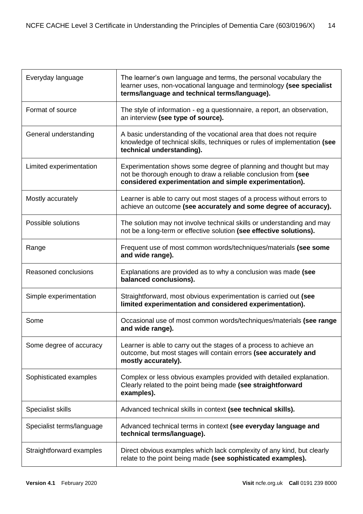| Everyday language         | The learner's own language and terms, the personal vocabulary the<br>learner uses, non-vocational language and terminology (see specialist<br>terms/language and technical terms/language).    |
|---------------------------|------------------------------------------------------------------------------------------------------------------------------------------------------------------------------------------------|
| Format of source          | The style of information - eg a questionnaire, a report, an observation,<br>an interview (see type of source).                                                                                 |
| General understanding     | A basic understanding of the vocational area that does not require<br>knowledge of technical skills, techniques or rules of implementation (see<br>technical understanding).                   |
| Limited experimentation   | Experimentation shows some degree of planning and thought but may<br>not be thorough enough to draw a reliable conclusion from (see<br>considered experimentation and simple experimentation). |
| Mostly accurately         | Learner is able to carry out most stages of a process without errors to<br>achieve an outcome (see accurately and some degree of accuracy).                                                    |
| Possible solutions        | The solution may not involve technical skills or understanding and may<br>not be a long-term or effective solution (see effective solutions).                                                  |
| Range                     | Frequent use of most common words/techniques/materials (see some<br>and wide range).                                                                                                           |
| Reasoned conclusions      | Explanations are provided as to why a conclusion was made (see<br>balanced conclusions).                                                                                                       |
| Simple experimentation    | Straightforward, most obvious experimentation is carried out (see<br>limited experimentation and considered experimentation).                                                                  |
| Some                      | Occasional use of most common words/techniques/materials (see range<br>and wide range).                                                                                                        |
| Some degree of accuracy   | Learner is able to carry out the stages of a process to achieve an<br>outcome, but most stages will contain errors (see accurately and<br>mostly accurately).                                  |
| Sophisticated examples    | Complex or less obvious examples provided with detailed explanation.<br>Clearly related to the point being made (see straightforward<br>examples).                                             |
| Specialist skills         | Advanced technical skills in context (see technical skills).                                                                                                                                   |
| Specialist terms/language | Advanced technical terms in context (see everyday language and<br>technical terms/language).                                                                                                   |
| Straightforward examples  | Direct obvious examples which lack complexity of any kind, but clearly<br>relate to the point being made (see sophisticated examples).                                                         |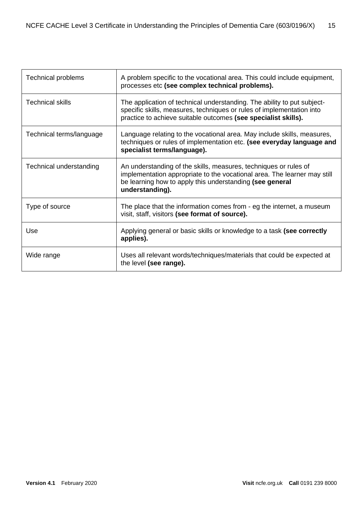| <b>Technical problems</b> | A problem specific to the vocational area. This could include equipment,<br>processes etc (see complex technical problems).                                                                                                 |
|---------------------------|-----------------------------------------------------------------------------------------------------------------------------------------------------------------------------------------------------------------------------|
| <b>Technical skills</b>   | The application of technical understanding. The ability to put subject-<br>specific skills, measures, techniques or rules of implementation into<br>practice to achieve suitable outcomes (see specialist skills).          |
| Technical terms/language  | Language relating to the vocational area. May include skills, measures,<br>techniques or rules of implementation etc. (see everyday language and<br>specialist terms/language).                                             |
| Technical understanding   | An understanding of the skills, measures, techniques or rules of<br>implementation appropriate to the vocational area. The learner may still<br>be learning how to apply this understanding (see general<br>understanding). |
| Type of source            | The place that the information comes from - eg the internet, a museum<br>visit, staff, visitors (see format of source).                                                                                                     |
| Use                       | Applying general or basic skills or knowledge to a task (see correctly<br>applies).                                                                                                                                         |
| Wide range                | Uses all relevant words/techniques/materials that could be expected at<br>the level (see range).                                                                                                                            |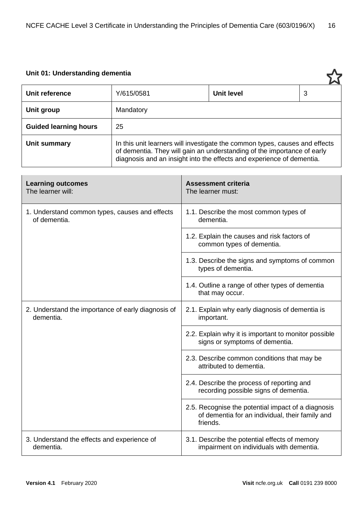# **Unit 01: Understanding dementia**

|                              |                                                                                                                                                                                                                                 |                   | $\sim$ |
|------------------------------|---------------------------------------------------------------------------------------------------------------------------------------------------------------------------------------------------------------------------------|-------------------|--------|
| Unit reference               | Y/615/0581                                                                                                                                                                                                                      | <b>Unit level</b> | 3      |
| Unit group                   | Mandatory                                                                                                                                                                                                                       |                   |        |
| <b>Guided learning hours</b> | 25                                                                                                                                                                                                                              |                   |        |
| Unit summary                 | In this unit learners will investigate the common types, causes and effects<br>of dementia. They will gain an understanding of the importance of early<br>diagnosis and an insight into the effects and experience of dementia. |                   |        |

| <b>Learning outcomes</b><br>The learner will:                   | <b>Assessment criteria</b><br>The learner must:                                                                   |
|-----------------------------------------------------------------|-------------------------------------------------------------------------------------------------------------------|
| 1. Understand common types, causes and effects<br>of dementia.  | 1.1. Describe the most common types of<br>dementia.                                                               |
|                                                                 | 1.2. Explain the causes and risk factors of<br>common types of dementia.                                          |
|                                                                 | 1.3. Describe the signs and symptoms of common<br>types of dementia.                                              |
|                                                                 | 1.4. Outline a range of other types of dementia<br>that may occur.                                                |
| 2. Understand the importance of early diagnosis of<br>dementia. | 2.1. Explain why early diagnosis of dementia is<br>important.                                                     |
|                                                                 | 2.2. Explain why it is important to monitor possible<br>signs or symptoms of dementia.                            |
|                                                                 | 2.3. Describe common conditions that may be<br>attributed to dementia.                                            |
|                                                                 | 2.4. Describe the process of reporting and<br>recording possible signs of dementia.                               |
|                                                                 | 2.5. Recognise the potential impact of a diagnosis<br>of dementia for an individual, their family and<br>friends. |
| 3. Understand the effects and experience of<br>dementia.        | 3.1. Describe the potential effects of memory<br>impairment on individuals with dementia.                         |

57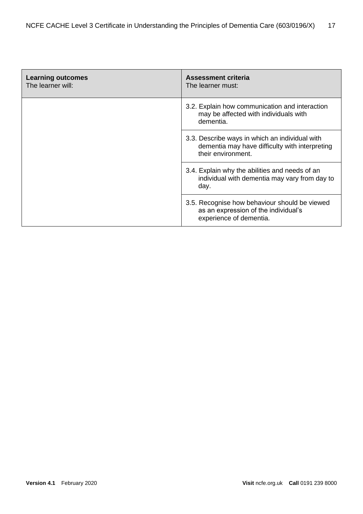| <b>Learning outcomes</b><br>The learner will: | Assessment criteria<br>The learner must:                                                                               |
|-----------------------------------------------|------------------------------------------------------------------------------------------------------------------------|
|                                               | 3.2. Explain how communication and interaction<br>may be affected with individuals with<br>dementia.                   |
|                                               | 3.3. Describe ways in which an individual with<br>dementia may have difficulty with interpreting<br>their environment. |
|                                               | 3.4. Explain why the abilities and needs of an<br>individual with dementia may vary from day to<br>day.                |
|                                               | 3.5. Recognise how behaviour should be viewed<br>as an expression of the individual's<br>experience of dementia.       |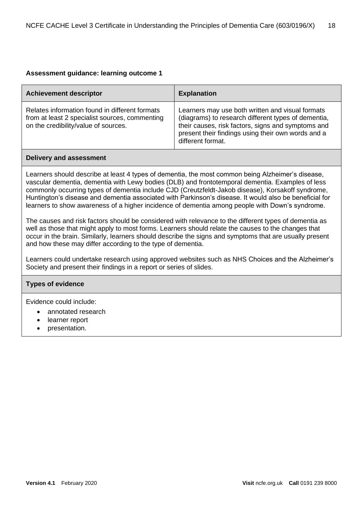| <b>Achievement descriptor</b>                                                                                                                                                                                                                                                                                                                                                                                                                                                                                           | <b>Explanation</b>                                                                                                                                                                                                                       |  |
|-------------------------------------------------------------------------------------------------------------------------------------------------------------------------------------------------------------------------------------------------------------------------------------------------------------------------------------------------------------------------------------------------------------------------------------------------------------------------------------------------------------------------|------------------------------------------------------------------------------------------------------------------------------------------------------------------------------------------------------------------------------------------|--|
| Relates information found in different formats<br>from at least 2 specialist sources, commenting<br>on the credibility/value of sources.                                                                                                                                                                                                                                                                                                                                                                                | Learners may use both written and visual formats<br>(diagrams) to research different types of dementia,<br>their causes, risk factors, signs and symptoms and<br>present their findings using their own words and a<br>different format. |  |
| <b>Delivery and assessment</b>                                                                                                                                                                                                                                                                                                                                                                                                                                                                                          |                                                                                                                                                                                                                                          |  |
| Learners should describe at least 4 types of dementia, the most common being Alzheimer's disease,<br>vascular dementia, dementia with Lewy bodies (DLB) and frontotemporal dementia. Examples of less<br>commonly occurring types of dementia include CJD (Creutzfeldt-Jakob disease), Korsakoff syndrome,<br>Huntington's disease and dementia associated with Parkinson's disease. It would also be beneficial for<br>learners to show awareness of a higher incidence of dementia among people with Down's syndrome. |                                                                                                                                                                                                                                          |  |
| The causes and risk factors should be considered with relevance to the different types of dementia as                                                                                                                                                                                                                                                                                                                                                                                                                   |                                                                                                                                                                                                                                          |  |

well as those that might apply to most forms. Learners should relate the causes to the changes that occur in the brain. Similarly, learners should describe the signs and symptoms that are usually present and how these may differ according to the type of dementia.

Learners could undertake research using approved websites such as NHS Choices and the Alzheimer's Society and present their findings in a report or series of slides.

#### **Types of evidence**

- annotated research
- learner report
- presentation.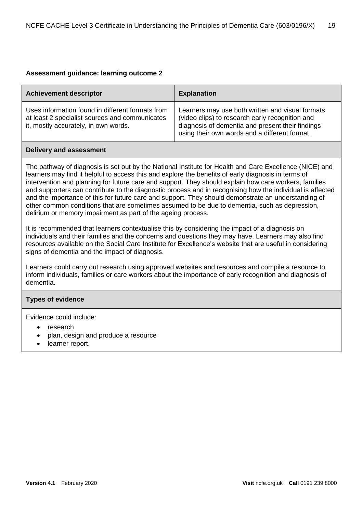| <b>Achievement descriptor</b>                                                                                                              | <b>Explanation</b>                                                                                                                                                                                       |
|--------------------------------------------------------------------------------------------------------------------------------------------|----------------------------------------------------------------------------------------------------------------------------------------------------------------------------------------------------------|
| Uses information found in different formats from<br>at least 2 specialist sources and communicates<br>it, mostly accurately, in own words. | Learners may use both written and visual formats<br>(video clips) to research early recognition and<br>diagnosis of dementia and present their findings<br>using their own words and a different format. |

#### **Delivery and assessment**

The pathway of diagnosis is set out by the National Institute for Health and Care Excellence (NICE) and learners may find it helpful to access this and explore the benefits of early diagnosis in terms of intervention and planning for future care and support. They should explain how care workers, families and supporters can contribute to the diagnostic process and in recognising how the individual is affected and the importance of this for future care and support. They should demonstrate an understanding of other common conditions that are sometimes assumed to be due to dementia, such as depression, delirium or memory impairment as part of the ageing process.

It is recommended that learners contextualise this by considering the impact of a diagnosis on individuals and their families and the concerns and questions they may have. Learners may also find resources available on the Social Care Institute for Excellence's website that are useful in considering signs of dementia and the impact of diagnosis.

Learners could carry out research using approved websites and resources and compile a resource to inform individuals, families or care workers about the importance of early recognition and diagnosis of dementia.

#### **Types of evidence**

- research
- plan, design and produce a resource
- learner report.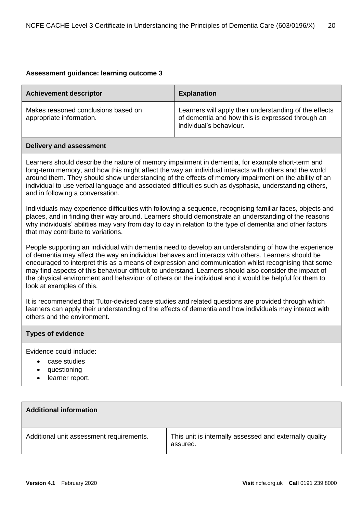| <b>Achievement descriptor</b>                                                                                                                                                                                                                                                                                                                                                                                                                                   | <b>Explanation</b>                                                                                                                    |  |
|-----------------------------------------------------------------------------------------------------------------------------------------------------------------------------------------------------------------------------------------------------------------------------------------------------------------------------------------------------------------------------------------------------------------------------------------------------------------|---------------------------------------------------------------------------------------------------------------------------------------|--|
| Makes reasoned conclusions based on<br>appropriate information.                                                                                                                                                                                                                                                                                                                                                                                                 | Learners will apply their understanding of the effects<br>of dementia and how this is expressed through an<br>individual's behaviour. |  |
| <b>Delivery and assessment</b>                                                                                                                                                                                                                                                                                                                                                                                                                                  |                                                                                                                                       |  |
| Learners should describe the nature of memory impairment in dementia, for example short-term and<br>long-term memory, and how this might affect the way an individual interacts with others and the world<br>around them. They should show understanding of the effects of memory impairment on the ability of an<br>individual to use verbal language and associated difficulties such as dysphasia, understanding others,<br>and in following a conversation. |                                                                                                                                       |  |
| Individuals may experience difficulties with following a sequence, recognising familiar faces, objects and                                                                                                                                                                                                                                                                                                                                                      |                                                                                                                                       |  |

Individuals may experience difficulties with following a sequence, recognising familiar faces, objects and places, and in finding their way around. Learners should demonstrate an understanding of the reasons why individuals' abilities may vary from day to day in relation to the type of dementia and other factors that may contribute to variations.

People supporting an individual with dementia need to develop an understanding of how the experience of dementia may affect the way an individual behaves and interacts with others. Learners should be encouraged to interpret this as a means of expression and communication whilst recognising that some may find aspects of this behaviour difficult to understand. Learners should also consider the impact of the physical environment and behaviour of others on the individual and it would be helpful for them to look at examples of this.

It is recommended that Tutor-devised case studies and related questions are provided through which learners can apply their understanding of the effects of dementia and how individuals may interact with others and the environment.

#### **Types of evidence**

- case studies
- questioning
- learner report.

| <b>Additional information</b>            |                                                                     |
|------------------------------------------|---------------------------------------------------------------------|
| Additional unit assessment requirements. | This unit is internally assessed and externally quality<br>assured. |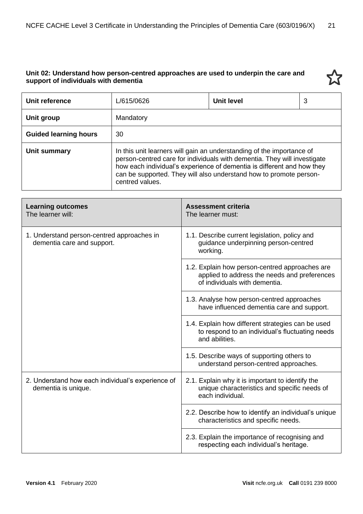#### **Unit 02: Understand how person-centred approaches are used to underpin the care and support of individuals with dementia**



| Unit reference               | L/615/0626                                                                                                                                                                                                                                                                                                           | <b>Unit level</b> | 3 |
|------------------------------|----------------------------------------------------------------------------------------------------------------------------------------------------------------------------------------------------------------------------------------------------------------------------------------------------------------------|-------------------|---|
| Unit group                   | Mandatory                                                                                                                                                                                                                                                                                                            |                   |   |
| <b>Guided learning hours</b> | 30                                                                                                                                                                                                                                                                                                                   |                   |   |
| Unit summary                 | In this unit learners will gain an understanding of the importance of<br>person-centred care for individuals with dementia. They will investigate<br>how each individual's experience of dementia is different and how they<br>can be supported. They will also understand how to promote person-<br>centred values. |                   |   |

| <b>Learning outcomes</b><br>The learner will:                            | <b>Assessment criteria</b><br>The learner must:                                                                                 |
|--------------------------------------------------------------------------|---------------------------------------------------------------------------------------------------------------------------------|
| 1. Understand person-centred approaches in<br>dementia care and support. | 1.1. Describe current legislation, policy and<br>guidance underpinning person-centred<br>working.                               |
|                                                                          | 1.2. Explain how person-centred approaches are<br>applied to address the needs and preferences<br>of individuals with dementia. |
|                                                                          | 1.3. Analyse how person-centred approaches<br>have influenced dementia care and support.                                        |
|                                                                          | 1.4. Explain how different strategies can be used<br>to respond to an individual's fluctuating needs<br>and abilities.          |
|                                                                          | 1.5. Describe ways of supporting others to<br>understand person-centred approaches.                                             |
| 2. Understand how each individual's experience of<br>dementia is unique. | 2.1. Explain why it is important to identify the<br>unique characteristics and specific needs of<br>each individual.            |
|                                                                          | 2.2. Describe how to identify an individual's unique<br>characteristics and specific needs.                                     |
|                                                                          | 2.3. Explain the importance of recognising and<br>respecting each individual's heritage.                                        |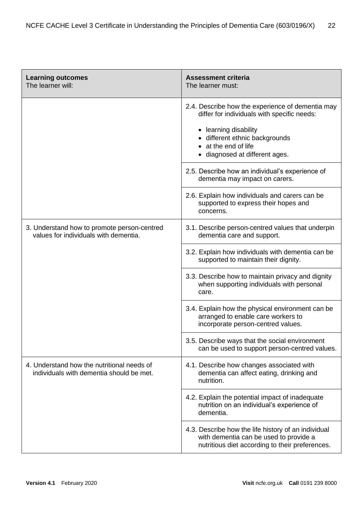| <b>Learning outcomes</b><br>The learner will:                                          | <b>Assessment criteria</b><br>The learner must:                                                                                                  |
|----------------------------------------------------------------------------------------|--------------------------------------------------------------------------------------------------------------------------------------------------|
|                                                                                        | 2.4. Describe how the experience of dementia may<br>differ for individuals with specific needs:                                                  |
|                                                                                        | • learning disability<br>· different ethnic backgrounds<br>at the end of life<br>diagnosed at different ages.                                    |
|                                                                                        | 2.5. Describe how an individual's experience of<br>dementia may impact on carers.                                                                |
|                                                                                        | 2.6. Explain how individuals and carers can be<br>supported to express their hopes and<br>concerns.                                              |
| 3. Understand how to promote person-centred<br>values for individuals with dementia.   | 3.1. Describe person-centred values that underpin<br>dementia care and support.                                                                  |
|                                                                                        | 3.2. Explain how individuals with dementia can be<br>supported to maintain their dignity.                                                        |
|                                                                                        | 3.3. Describe how to maintain privacy and dignity<br>when supporting individuals with personal<br>care.                                          |
|                                                                                        | 3.4. Explain how the physical environment can be<br>arranged to enable care workers to<br>incorporate person-centred values.                     |
|                                                                                        | 3.5. Describe ways that the social environment<br>can be used to support person-centred values.                                                  |
| 4. Understand how the nutritional needs of<br>individuals with dementia should be met. | 4.1. Describe how changes associated with<br>dementia can affect eating, drinking and<br>nutrition.                                              |
|                                                                                        | 4.2. Explain the potential impact of inadequate<br>nutrition on an individual's experience of<br>dementia.                                       |
|                                                                                        | 4.3. Describe how the life history of an individual<br>with dementia can be used to provide a<br>nutritious diet according to their preferences. |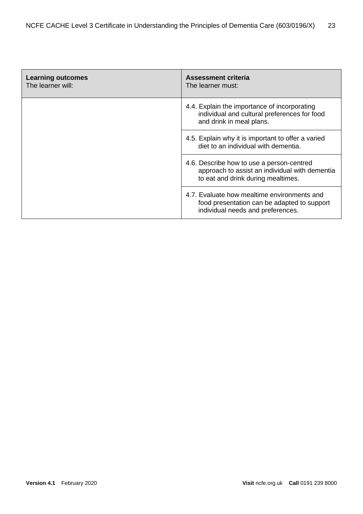| <b>Learning outcomes</b><br>The learner will: | Assessment criteria<br>The learner must:                                                                                          |
|-----------------------------------------------|-----------------------------------------------------------------------------------------------------------------------------------|
|                                               | 4.4. Explain the importance of incorporating<br>individual and cultural preferences for food<br>and drink in meal plans.          |
|                                               | 4.5. Explain why it is important to offer a varied<br>diet to an individual with dementia.                                        |
|                                               | 4.6. Describe how to use a person-centred<br>approach to assist an individual with dementia<br>to eat and drink during mealtimes. |
|                                               | 4.7. Evaluate how mealtime environments and<br>food presentation can be adapted to support<br>individual needs and preferences.   |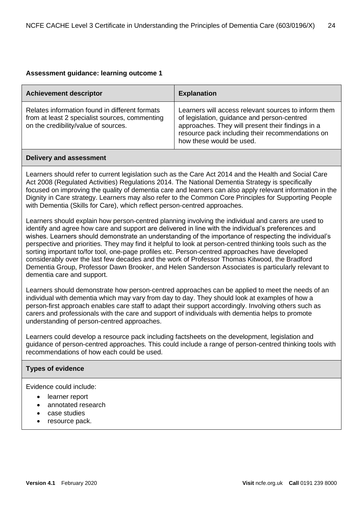| <b>Achievement descriptor</b>                                                                                                                                                                                                                                                                                                                                                                                                                                                                                                                                                                                                                                                                                              | <b>Explanation</b>                                                                                                                                                                                                                       |
|----------------------------------------------------------------------------------------------------------------------------------------------------------------------------------------------------------------------------------------------------------------------------------------------------------------------------------------------------------------------------------------------------------------------------------------------------------------------------------------------------------------------------------------------------------------------------------------------------------------------------------------------------------------------------------------------------------------------------|------------------------------------------------------------------------------------------------------------------------------------------------------------------------------------------------------------------------------------------|
| Relates information found in different formats<br>from at least 2 specialist sources, commenting<br>on the credibility/value of sources.                                                                                                                                                                                                                                                                                                                                                                                                                                                                                                                                                                                   | Learners will access relevant sources to inform them<br>of legislation, guidance and person-centred<br>approaches. They will present their findings in a<br>resource pack including their recommendations on<br>how these would be used. |
| <b>Delivery and assessment</b>                                                                                                                                                                                                                                                                                                                                                                                                                                                                                                                                                                                                                                                                                             |                                                                                                                                                                                                                                          |
| Learners should refer to current legislation such as the Care Act 2014 and the Health and Social Care<br>Act 2008 (Regulated Activities) Regulations 2014. The National Dementia Strategy is specifically<br>focused on improving the quality of dementia care and learners can also apply relevant information in the<br>Dignity in Care strategy. Learners may also refer to the Common Core Principles for Supporting People<br>with Dementia (Skills for Care), which reflect person-centred approaches.<br>Learners should explain how person-centred planning involving the individual and carers are used to<br>identify and agree how care and support are delivered in line with the individual's preferences and |                                                                                                                                                                                                                                          |
| wishes. Learners should demonstrate an understanding of the importance of respecting the individual's<br>perspective and priorities. They may find it helpful to look at person-centred thinking tools such as the<br>sorting important to/for tool, one-page profiles etc. Person-centred approaches have developed<br>considerably over the last few decades and the work of Professor Thomas Kitwood, the Bradford<br>Dementia Group, Professor Dawn Brooker, and Helen Sanderson Associates is particularly relevant to<br>dementia care and support.                                                                                                                                                                  |                                                                                                                                                                                                                                          |
| Learners should demonstrate how person-centred approaches can be applied to meet the needs of an<br>individual with dementia which may vary from day to day. They should look at examples of how a<br>person-first approach enables care staff to adapt their support accordingly. Involving others such as<br>carers and professionals with the care and support of individuals with dementia helps to promote<br>understanding of person-centred approaches.                                                                                                                                                                                                                                                             |                                                                                                                                                                                                                                          |
| Learners could develop a resource pack including factsheets on the development, legislation and<br>guidance of person-centred approaches. This could include a range of person-centred thinking tools with<br>recommendations of how each could be used.                                                                                                                                                                                                                                                                                                                                                                                                                                                                   |                                                                                                                                                                                                                                          |
| <b>Types of evidence</b>                                                                                                                                                                                                                                                                                                                                                                                                                                                                                                                                                                                                                                                                                                   |                                                                                                                                                                                                                                          |
| Evidence could include:                                                                                                                                                                                                                                                                                                                                                                                                                                                                                                                                                                                                                                                                                                    |                                                                                                                                                                                                                                          |

- learner report
- annotated research
- case studies
- resource pack.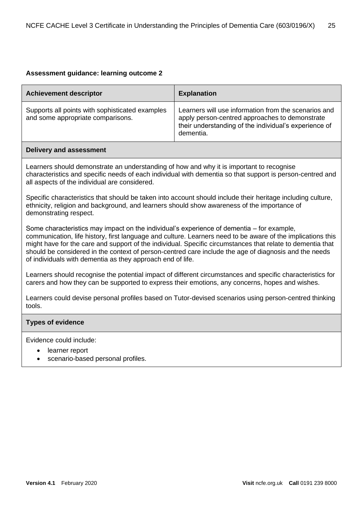| <b>Achievement descriptor</b>                                                                                                                                                                                                                                                                                                                                                                                                                                                                 | <b>Explanation</b>                                                                                                                                                           |  |
|-----------------------------------------------------------------------------------------------------------------------------------------------------------------------------------------------------------------------------------------------------------------------------------------------------------------------------------------------------------------------------------------------------------------------------------------------------------------------------------------------|------------------------------------------------------------------------------------------------------------------------------------------------------------------------------|--|
| Supports all points with sophisticated examples<br>and some appropriate comparisons.                                                                                                                                                                                                                                                                                                                                                                                                          | Learners will use information from the scenarios and<br>apply person-centred approaches to demonstrate<br>their understanding of the individual's experience of<br>dementia. |  |
| <b>Delivery and assessment</b>                                                                                                                                                                                                                                                                                                                                                                                                                                                                |                                                                                                                                                                              |  |
| Learners should demonstrate an understanding of how and why it is important to recognise<br>characteristics and specific needs of each individual with dementia so that support is person-centred and<br>all aspects of the individual are considered.                                                                                                                                                                                                                                        |                                                                                                                                                                              |  |
| Specific characteristics that should be taken into account should include their heritage including culture,<br>ethnicity, religion and background, and learners should show awareness of the importance of<br>demonstrating respect.                                                                                                                                                                                                                                                          |                                                                                                                                                                              |  |
| Some characteristics may impact on the individual's experience of dementia – for example,<br>communication, life history, first language and culture. Learners need to be aware of the implications this<br>might have for the care and support of the individual. Specific circumstances that relate to dementia that<br>should be considered in the context of person-centred care include the age of diagnosis and the needs<br>of individuals with dementia as they approach end of life. |                                                                                                                                                                              |  |
| Learners should recognise the potential impact of different circumstances and specific characteristics for<br>carers and how they can be supported to express their emotions, any concerns, hopes and wishes.                                                                                                                                                                                                                                                                                 |                                                                                                                                                                              |  |
| Learners could devise personal profiles based on Tutor-devised scenarios using person-centred thinking<br>tools.                                                                                                                                                                                                                                                                                                                                                                              |                                                                                                                                                                              |  |
| <b>Types of evidence</b>                                                                                                                                                                                                                                                                                                                                                                                                                                                                      |                                                                                                                                                                              |  |
| Evidence could include:<br>learner report                                                                                                                                                                                                                                                                                                                                                                                                                                                     |                                                                                                                                                                              |  |

• scenario-based personal profiles.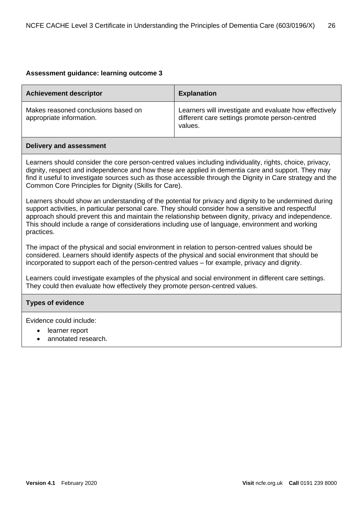| <b>Achievement descriptor</b>                                   | <b>Explanation</b>                                                                                                  |
|-----------------------------------------------------------------|---------------------------------------------------------------------------------------------------------------------|
| Makes reasoned conclusions based on<br>appropriate information. | Learners will investigate and evaluate how effectively<br>different care settings promote person-centred<br>values. |

#### **Delivery and assessment**

Learners should consider the core person-centred values including individuality, rights, choice, privacy, dignity, respect and independence and how these are applied in dementia care and support. They may find it useful to investigate sources such as those accessible through the Dignity in Care strategy and the Common Core Principles for Dignity (Skills for Care).

Learners should show an understanding of the potential for privacy and dignity to be undermined during support activities, in particular personal care. They should consider how a sensitive and respectful approach should prevent this and maintain the relationship between dignity, privacy and independence. This should include a range of considerations including use of language, environment and working practices.

The impact of the physical and social environment in relation to person-centred values should be considered. Learners should identify aspects of the physical and social environment that should be incorporated to support each of the person-centred values – for example, privacy and dignity.

Learners could investigate examples of the physical and social environment in different care settings. They could then evaluate how effectively they promote person-centred values.

#### **Types of evidence**

- learner report
- annotated research.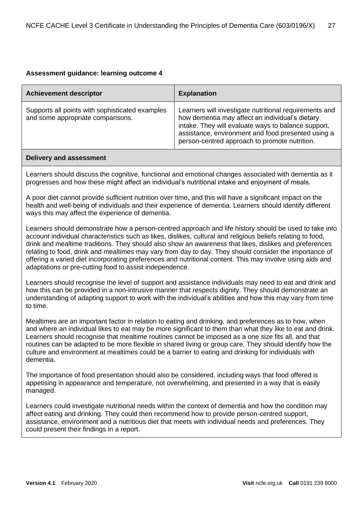| <b>Achievement descriptor</b>                                                                                                                                                                                                                                              | <b>Explanation</b>                                                                                                                                                                                                                                                      |  |
|----------------------------------------------------------------------------------------------------------------------------------------------------------------------------------------------------------------------------------------------------------------------------|-------------------------------------------------------------------------------------------------------------------------------------------------------------------------------------------------------------------------------------------------------------------------|--|
| Supports all points with sophisticated examples<br>and some appropriate comparisons.                                                                                                                                                                                       | Learners will investigate nutritional requirements and<br>how dementia may affect an individual's dietary<br>intake. They will evaluate ways to balance support,<br>assistance, environment and food presented using a<br>person-centred approach to promote nutrition. |  |
| <b>Delivery and assessment</b>                                                                                                                                                                                                                                             |                                                                                                                                                                                                                                                                         |  |
| Learners should discuss the cognitive, functional and emotional changes associated with dementia as it<br>progresses and how these might affect an individual's nutritional intake and enjoyment of meals.                                                                 |                                                                                                                                                                                                                                                                         |  |
| A poor diet cannot provide sufficient nutrition over time, and this will have a significant impact on the<br>health and well-being of individuals and their experience of dementia. Learners should identify different<br>ways this may affect the experience of dementia. |                                                                                                                                                                                                                                                                         |  |
| Learners should demonstrate how a person-centred approach and life history should be used to take into<br>the contract of the contract of the contract of the contract of the contract of the contract of the contract of                                                  |                                                                                                                                                                                                                                                                         |  |

account individual characteristics such as likes, dislikes, cultural and religious beliefs relating to food, drink and mealtime traditions. They should also show an awareness that likes, dislikes and preferences relating to food, drink and mealtimes may vary from day to day. They should consider the importance of offering a varied diet incorporating preferences and nutritional content. This may involve using aids and adaptations or pre-cutting food to assist independence.

Learners should recognise the level of support and assistance individuals may need to eat and drink and how this can be provided in a non-intrusive manner that respects dignity. They should demonstrate an understanding of adapting support to work with the individual's abilities and how this may vary from time to time.

Mealtimes are an important factor in relation to eating and drinking, and preferences as to how, when and where an individual likes to eat may be more significant to them than what they like to eat and drink. Learners should recognise that mealtime routines cannot be imposed as a one size fits all, and that routines can be adapted to be more flexible in shared living or group care. They should identify how the culture and environment at mealtimes could be a barrier to eating and drinking for individuals with dementia.

The importance of food presentation should also be considered, including ways that food offered is appetising in appearance and temperature, not overwhelming, and presented in a way that is easily managed.

Learners could investigate nutritional needs within the context of dementia and how the condition may affect eating and drinking. They could then recommend how to provide person-centred support, assistance, environment and a nutritious diet that meets with individual needs and preferences. They could present their findings in a report.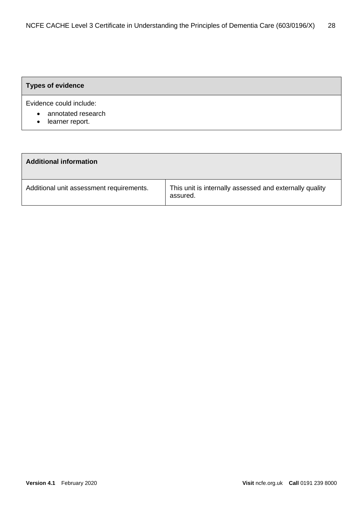# **Types of evidence**

- annotated research
- learner report.

| <b>Additional information</b>            |                                                                     |
|------------------------------------------|---------------------------------------------------------------------|
| Additional unit assessment requirements. | This unit is internally assessed and externally quality<br>assured. |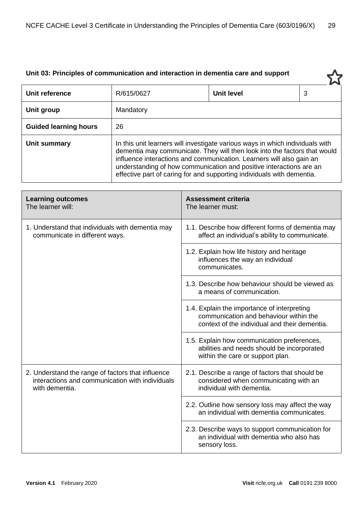| Unit reference               | R/615/0627                                                                                                                                                                                                                                                                                                                                                                          | <b>Unit level</b> | 3 |
|------------------------------|-------------------------------------------------------------------------------------------------------------------------------------------------------------------------------------------------------------------------------------------------------------------------------------------------------------------------------------------------------------------------------------|-------------------|---|
| Unit group                   | Mandatory                                                                                                                                                                                                                                                                                                                                                                           |                   |   |
| <b>Guided learning hours</b> | 26                                                                                                                                                                                                                                                                                                                                                                                  |                   |   |
| Unit summary                 | In this unit learners will investigate various ways in which individuals with<br>dementia may communicate. They will then look into the factors that would<br>influence interactions and communication. Learners will also gain an<br>understanding of how communication and positive interactions are an<br>effective part of caring for and supporting individuals with dementia. |                   |   |

| <b>Learning outcomes</b><br>The learner will:                                                                          | <b>Assessment criteria</b><br>The learner must:                                                                                        |
|------------------------------------------------------------------------------------------------------------------------|----------------------------------------------------------------------------------------------------------------------------------------|
| 1. Understand that individuals with dementia may<br>communicate in different ways.                                     | 1.1. Describe how different forms of dementia may<br>affect an individual's ability to communicate.                                    |
|                                                                                                                        | 1.2. Explain how life history and heritage<br>influences the way an individual<br>communicates.                                        |
|                                                                                                                        | 1.3. Describe how behaviour should be viewed as<br>a means of communication.                                                           |
|                                                                                                                        | 1.4. Explain the importance of interpreting<br>communication and behaviour within the<br>context of the individual and their dementia. |
|                                                                                                                        | 1.5. Explain how communication preferences,<br>abilities and needs should be incorporated<br>within the care or support plan.          |
| 2. Understand the range of factors that influence<br>interactions and communication with individuals<br>with dementia. | 2.1. Describe a range of factors that should be<br>considered when communicating with an<br>individual with dementia.                  |
|                                                                                                                        | 2.2. Outline how sensory loss may affect the way<br>an individual with dementia communicates.                                          |
|                                                                                                                        | 2.3. Describe ways to support communication for<br>an individual with dementia who also has<br>sensory loss.                           |

# **Unit 03: Principles of communication and interaction in dementia care and support**

┸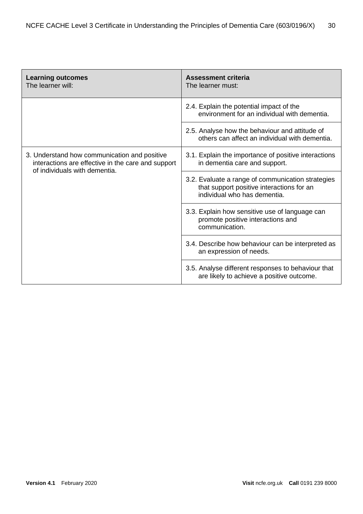| <b>Learning outcomes</b><br>The learner will:                                                                                       | <b>Assessment criteria</b><br>The learner must:                                                                                |
|-------------------------------------------------------------------------------------------------------------------------------------|--------------------------------------------------------------------------------------------------------------------------------|
|                                                                                                                                     | 2.4. Explain the potential impact of the<br>environment for an individual with dementia.                                       |
|                                                                                                                                     | 2.5. Analyse how the behaviour and attitude of<br>others can affect an individual with dementia.                               |
| 3. Understand how communication and positive<br>interactions are effective in the care and support<br>of individuals with dementia. | 3.1. Explain the importance of positive interactions<br>in dementia care and support.                                          |
|                                                                                                                                     | 3.2. Evaluate a range of communication strategies<br>that support positive interactions for an<br>individual who has dementia. |
|                                                                                                                                     | 3.3. Explain how sensitive use of language can<br>promote positive interactions and<br>communication.                          |
|                                                                                                                                     | 3.4. Describe how behaviour can be interpreted as<br>an expression of needs.                                                   |
|                                                                                                                                     | 3.5. Analyse different responses to behaviour that<br>are likely to achieve a positive outcome.                                |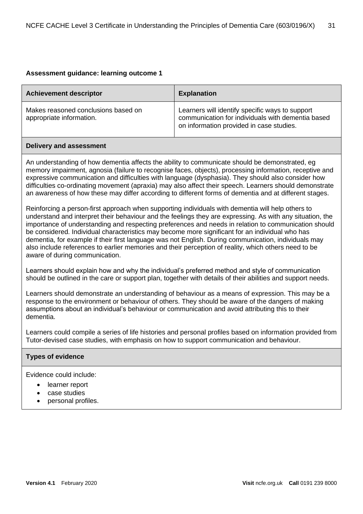| <b>Achievement descriptor</b>                                   | <b>Explanation</b>                                                                                                                               |
|-----------------------------------------------------------------|--------------------------------------------------------------------------------------------------------------------------------------------------|
| Makes reasoned conclusions based on<br>appropriate information. | Learners will identify specific ways to support<br>communication for individuals with dementia based<br>on information provided in case studies. |

#### **Delivery and assessment**

An understanding of how dementia affects the ability to communicate should be demonstrated, eg memory impairment, agnosia (failure to recognise faces, objects), processing information, receptive and expressive communication and difficulties with language (dysphasia). They should also consider how difficulties co-ordinating movement (apraxia) may also affect their speech. Learners should demonstrate an awareness of how these may differ according to different forms of dementia and at different stages.

Reinforcing a person-first approach when supporting individuals with dementia will help others to understand and interpret their behaviour and the feelings they are expressing. As with any situation, the importance of understanding and respecting preferences and needs in relation to communication should be considered. Individual characteristics may become more significant for an individual who has dementia, for example if their first language was not English. During communication, individuals may also include references to earlier memories and their perception of reality, which others need to be aware of during communication.

Learners should explain how and why the individual's preferred method and style of communication should be outlined in the care or support plan, together with details of their abilities and support needs.

Learners should demonstrate an understanding of behaviour as a means of expression. This may be a response to the environment or behaviour of others. They should be aware of the dangers of making assumptions about an individual's behaviour or communication and avoid attributing this to their dementia.

Learners could compile a series of life histories and personal profiles based on information provided from Tutor-devised case studies, with emphasis on how to support communication and behaviour.

#### **Types of evidence**

- learner report
- case studies
- personal profiles.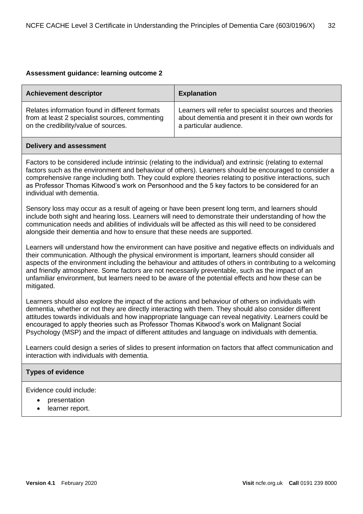| <b>Achievement descriptor</b>                  | <b>Explanation</b>                                     |
|------------------------------------------------|--------------------------------------------------------|
| Relates information found in different formats | Learners will refer to specialist sources and theories |
| from at least 2 specialist sources, commenting | about dementia and present it in their own words for   |
| on the credibility/value of sources.           | a particular audience.                                 |

#### **Delivery and assessment**

Factors to be considered include intrinsic (relating to the individual) and extrinsic (relating to external factors such as the environment and behaviour of others). Learners should be encouraged to consider a comprehensive range including both. They could explore theories relating to positive interactions, such as Professor Thomas Kitwood's work on Personhood and the 5 key factors to be considered for an individual with dementia.

Sensory loss may occur as a result of ageing or have been present long term, and learners should include both sight and hearing loss. Learners will need to demonstrate their understanding of how the communication needs and abilities of individuals will be affected as this will need to be considered alongside their dementia and how to ensure that these needs are supported.

Learners will understand how the environment can have positive and negative effects on individuals and their communication. Although the physical environment is important, learners should consider all aspects of the environment including the behaviour and attitudes of others in contributing to a welcoming and friendly atmosphere. Some factors are not necessarily preventable, such as the impact of an unfamiliar environment, but learners need to be aware of the potential effects and how these can be mitigated.

Learners should also explore the impact of the actions and behaviour of others on individuals with dementia, whether or not they are directly interacting with them. They should also consider different attitudes towards individuals and how inappropriate language can reveal negativity. Learners could be encouraged to apply theories such as Professor Thomas Kitwood's work on Malignant Social Psychology (MSP) and the impact of different attitudes and language on individuals with dementia.

Learners could design a series of slides to present information on factors that affect communication and interaction with individuals with dementia.

#### **Types of evidence**

- **presentation**
- learner report.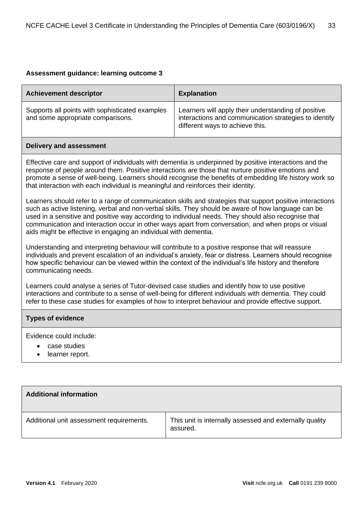| <b>Achievement descriptor</b>                                                                                                                                                                                                                                                                                                                                                                                  | <b>Explanation</b>                                                                                                                              |  |
|----------------------------------------------------------------------------------------------------------------------------------------------------------------------------------------------------------------------------------------------------------------------------------------------------------------------------------------------------------------------------------------------------------------|-------------------------------------------------------------------------------------------------------------------------------------------------|--|
| Supports all points with sophisticated examples<br>and some appropriate comparisons.                                                                                                                                                                                                                                                                                                                           | Learners will apply their understanding of positive<br>interactions and communication strategies to identify<br>different ways to achieve this. |  |
| <b>Delivery and assessment</b>                                                                                                                                                                                                                                                                                                                                                                                 |                                                                                                                                                 |  |
| Effective care and support of individuals with dementia is underpinned by positive interactions and the<br>response of people around them. Positive interactions are those that nurture positive emotions and<br>promote a sense of well-being. Learners should recognise the benefits of embedding life history work so<br>that interaction with each individual is meaningful and reinforces their identity. |                                                                                                                                                 |  |

Learners should refer to a range of communication skills and strategies that support positive interactions such as active listening, verbal and non-verbal skills. They should be aware of how language can be used in a sensitive and positive way according to individual needs. They should also recognise that communication and interaction occur in other ways apart from conversation, and when props or visual aids might be effective in engaging an individual with dementia.

Understanding and interpreting behaviour will contribute to a positive response that will reassure individuals and prevent escalation of an individual's anxiety, fear or distress. Learners should recognise how specific behaviour can be viewed within the context of the individual's life history and therefore communicating needs.

Learners could analyse a series of Tutor-devised case studies and identify how to use positive interactions and contribute to a sense of well-being for different individuals with dementia. They could refer to these case studies for examples of how to interpret behaviour and provide effective support.

#### **Types of evidence**

- case studies
- learner report.

| <b>Additional information</b>            |                                                                     |
|------------------------------------------|---------------------------------------------------------------------|
| Additional unit assessment requirements. | This unit is internally assessed and externally quality<br>assured. |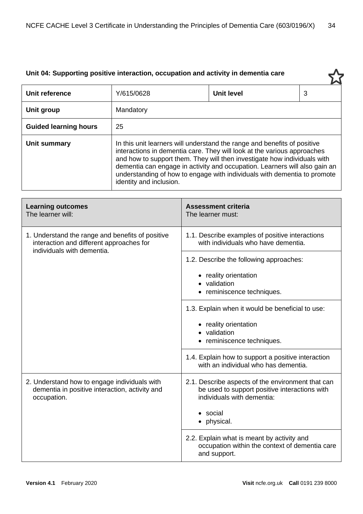| Unit 04: Supporting positive interaction, occupation and activity in dementia care |                                                                                                                                                                                                                                                                                                                                                                                                                      |                   |   |
|------------------------------------------------------------------------------------|----------------------------------------------------------------------------------------------------------------------------------------------------------------------------------------------------------------------------------------------------------------------------------------------------------------------------------------------------------------------------------------------------------------------|-------------------|---|
| Unit reference                                                                     | Y/615/0628                                                                                                                                                                                                                                                                                                                                                                                                           | <b>Unit level</b> | 3 |
| Unit group                                                                         | Mandatory                                                                                                                                                                                                                                                                                                                                                                                                            |                   |   |
| <b>Guided learning hours</b>                                                       | 25                                                                                                                                                                                                                                                                                                                                                                                                                   |                   |   |
| Unit summary                                                                       | In this unit learners will understand the range and benefits of positive<br>interactions in dementia care. They will look at the various approaches<br>and how to support them. They will then investigate how individuals with<br>dementia can engage in activity and occupation. Learners will also gain an<br>understanding of how to engage with individuals with dementia to promote<br>identity and inclusion. |                   |   |

| <b>Learning outcomes</b><br>The learner will:                                                                              | <b>Assessment criteria</b><br>The learner must:                                                                                  |
|----------------------------------------------------------------------------------------------------------------------------|----------------------------------------------------------------------------------------------------------------------------------|
| 1. Understand the range and benefits of positive<br>interaction and different approaches for<br>individuals with dementia. | 1.1. Describe examples of positive interactions<br>with individuals who have dementia.                                           |
|                                                                                                                            | 1.2. Describe the following approaches:                                                                                          |
|                                                                                                                            | • reality orientation<br>validation<br>• reminiscence techniques.                                                                |
|                                                                                                                            | 1.3. Explain when it would be beneficial to use:                                                                                 |
|                                                                                                                            | • reality orientation<br>validation<br>$\bullet$<br>• reminiscence techniques.                                                   |
|                                                                                                                            | 1.4. Explain how to support a positive interaction<br>with an individual who has dementia.                                       |
| 2. Understand how to engage individuals with<br>dementia in positive interaction, activity and<br>occupation.              | 2.1. Describe aspects of the environment that can<br>be used to support positive interactions with<br>individuals with dementia: |
|                                                                                                                            | social<br>$\bullet$<br>physical.                                                                                                 |
|                                                                                                                            | 2.2. Explain what is meant by activity and<br>occupation within the context of dementia care<br>and support.                     |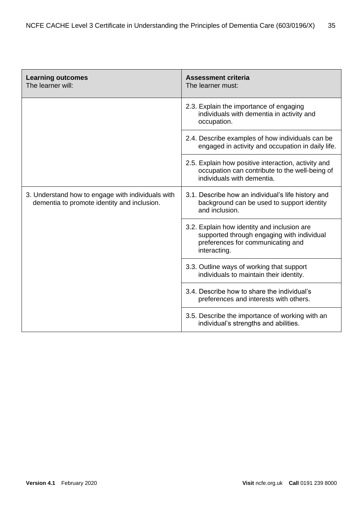| <b>Learning outcomes</b><br>The learner will:                                                    | <b>Assessment criteria</b><br>The learner must:                                                                                                |
|--------------------------------------------------------------------------------------------------|------------------------------------------------------------------------------------------------------------------------------------------------|
|                                                                                                  | 2.3. Explain the importance of engaging<br>individuals with dementia in activity and<br>occupation.                                            |
|                                                                                                  | 2.4. Describe examples of how individuals can be<br>engaged in activity and occupation in daily life.                                          |
|                                                                                                  | 2.5. Explain how positive interaction, activity and<br>occupation can contribute to the well-being of<br>individuals with dementia.            |
| 3. Understand how to engage with individuals with<br>dementia to promote identity and inclusion. | 3.1. Describe how an individual's life history and<br>background can be used to support identity<br>and inclusion.                             |
|                                                                                                  | 3.2. Explain how identity and inclusion are<br>supported through engaging with individual<br>preferences for communicating and<br>interacting. |
|                                                                                                  | 3.3. Outline ways of working that support<br>individuals to maintain their identity.                                                           |
|                                                                                                  | 3.4. Describe how to share the individual's<br>preferences and interests with others.                                                          |
|                                                                                                  | 3.5. Describe the importance of working with an<br>individual's strengths and abilities.                                                       |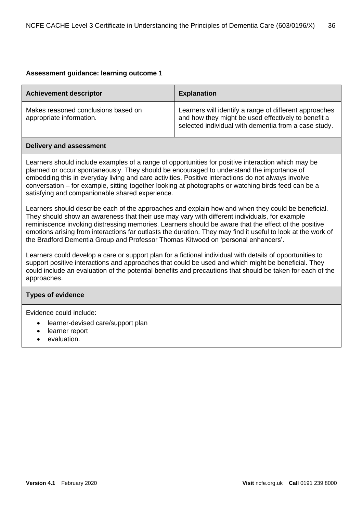| <b>Achievement descriptor</b>                                   | <b>Explanation</b>                                                                                                                                                    |
|-----------------------------------------------------------------|-----------------------------------------------------------------------------------------------------------------------------------------------------------------------|
| Makes reasoned conclusions based on<br>appropriate information. | Learners will identify a range of different approaches<br>and how they might be used effectively to benefit a<br>selected individual with dementia from a case study. |

#### **Delivery and assessment**

Learners should include examples of a range of opportunities for positive interaction which may be planned or occur spontaneously. They should be encouraged to understand the importance of embedding this in everyday living and care activities. Positive interactions do not always involve conversation – for example, sitting together looking at photographs or watching birds feed can be a satisfying and companionable shared experience.

Learners should describe each of the approaches and explain how and when they could be beneficial. They should show an awareness that their use may vary with different individuals, for example reminiscence invoking distressing memories. Learners should be aware that the effect of the positive emotions arising from interactions far outlasts the duration. They may find it useful to look at the work of the Bradford Dementia Group and Professor Thomas Kitwood on 'personal enhancers'.

Learners could develop a care or support plan for a fictional individual with details of opportunities to support positive interactions and approaches that could be used and which might be beneficial. They could include an evaluation of the potential benefits and precautions that should be taken for each of the approaches.

#### **Types of evidence**

- learner-devised care/support plan
- learner report
- evaluation.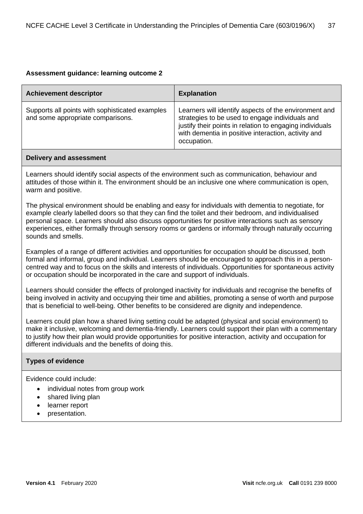| <b>Achievement descriptor</b>                                                                   | <b>Explanation</b>                                                                                                                                                                                                                         |  |
|-------------------------------------------------------------------------------------------------|--------------------------------------------------------------------------------------------------------------------------------------------------------------------------------------------------------------------------------------------|--|
| Supports all points with sophisticated examples<br>and some appropriate comparisons.            | Learners will identify aspects of the environment and<br>strategies to be used to engage individuals and<br>justify their points in relation to engaging individuals<br>with dementia in positive interaction, activity and<br>occupation. |  |
| <b>Delivery and assessment</b>                                                                  |                                                                                                                                                                                                                                            |  |
| Learners should identify social aspects of the environment such as communication, behaviour and |                                                                                                                                                                                                                                            |  |

attitudes of those within it. The environment should be an inclusive one where communication is open, warm and positive.

The physical environment should be enabling and easy for individuals with dementia to negotiate, for example clearly labelled doors so that they can find the toilet and their bedroom, and individualised personal space. Learners should also discuss opportunities for positive interactions such as sensory experiences, either formally through sensory rooms or gardens or informally through naturally occurring sounds and smells.

Examples of a range of different activities and opportunities for occupation should be discussed, both formal and informal, group and individual. Learners should be encouraged to approach this in a personcentred way and to focus on the skills and interests of individuals. Opportunities for spontaneous activity or occupation should be incorporated in the care and support of individuals.

Learners should consider the effects of prolonged inactivity for individuals and recognise the benefits of being involved in activity and occupying their time and abilities, promoting a sense of worth and purpose that is beneficial to well-being. Other benefits to be considered are dignity and independence.

Learners could plan how a shared living setting could be adapted (physical and social environment) to make it inclusive, welcoming and dementia-friendly. Learners could support their plan with a commentary to justify how their plan would provide opportunities for positive interaction, activity and occupation for different individuals and the benefits of doing this.

#### **Types of evidence**

- individual notes from group work
- shared living plan
- learner report
- presentation.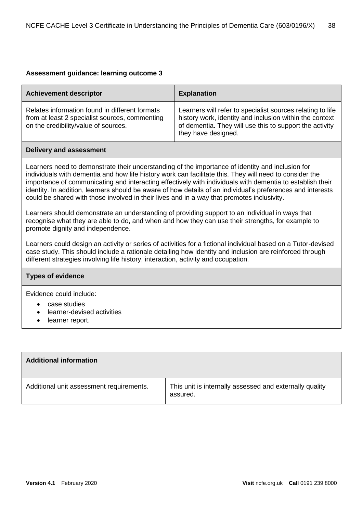| <b>Achievement descriptor</b>                                                                                                                                                                               | <b>Explanation</b>                                                                                                                                                                                      |  |
|-------------------------------------------------------------------------------------------------------------------------------------------------------------------------------------------------------------|---------------------------------------------------------------------------------------------------------------------------------------------------------------------------------------------------------|--|
| Relates information found in different formats<br>from at least 2 specialist sources, commenting<br>on the credibility/value of sources.                                                                    | Learners will refer to specialist sources relating to life<br>history work, identity and inclusion within the context<br>of dementia. They will use this to support the activity<br>they have designed. |  |
| <b>Delivery and assessment</b>                                                                                                                                                                              |                                                                                                                                                                                                         |  |
| Learners need to demonstrate their understanding of the importance of identity and inclusion for<br>individuals with dementia and how life history work can facilitate this. They will need to consider the |                                                                                                                                                                                                         |  |

importance of communicating and interacting effectively with individuals with dementia to establish their identity. In addition, learners should be aware of how details of an individual's preferences and interests could be shared with those involved in their lives and in a way that promotes inclusivity.

Learners should demonstrate an understanding of providing support to an individual in ways that recognise what they are able to do, and when and how they can use their strengths, for example to promote dignity and independence.

Learners could design an activity or series of activities for a fictional individual based on a Tutor-devised case study. This should include a rationale detailing how identity and inclusion are reinforced through different strategies involving life history, interaction, activity and occupation.

# **Types of evidence**

- case studies
- learner-devised activities
- learner report.

| <b>Additional information</b>            |                                                                     |
|------------------------------------------|---------------------------------------------------------------------|
| Additional unit assessment requirements. | This unit is internally assessed and externally quality<br>assured. |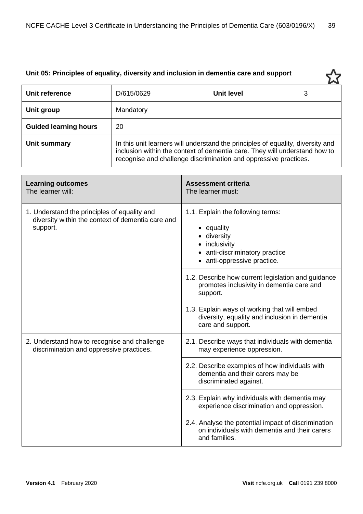| Unit 05: Principles of equality, diversity and inclusion in dementia care and support |                                                                                                                                                                                                                                   |            |   |
|---------------------------------------------------------------------------------------|-----------------------------------------------------------------------------------------------------------------------------------------------------------------------------------------------------------------------------------|------------|---|
| Unit reference                                                                        | D/615/0629                                                                                                                                                                                                                        | Unit level | 3 |
| Unit group                                                                            | Mandatory                                                                                                                                                                                                                         |            |   |
| <b>Guided learning hours</b>                                                          | 20                                                                                                                                                                                                                                |            |   |
| Unit summary                                                                          | In this unit learners will understand the principles of equality, diversity and<br>inclusion within the context of dementia care. They will understand how to<br>recognise and challenge discrimination and oppressive practices. |            |   |

| <b>Learning outcomes</b><br>The learner will:                                                                 | <b>Assessment criteria</b><br>The learner must:                                                                                                |
|---------------------------------------------------------------------------------------------------------------|------------------------------------------------------------------------------------------------------------------------------------------------|
| 1. Understand the principles of equality and<br>diversity within the context of dementia care and<br>support. | 1.1. Explain the following terms:<br>• equality<br>diversity<br>• inclusivity<br>• anti-discriminatory practice<br>• anti-oppressive practice. |
|                                                                                                               | 1.2. Describe how current legislation and guidance<br>promotes inclusivity in dementia care and<br>support.                                    |
|                                                                                                               | 1.3. Explain ways of working that will embed<br>diversity, equality and inclusion in dementia<br>care and support.                             |
| 2. Understand how to recognise and challenge<br>discrimination and oppressive practices.                      | 2.1. Describe ways that individuals with dementia<br>may experience oppression.                                                                |
|                                                                                                               | 2.2. Describe examples of how individuals with<br>dementia and their carers may be<br>discriminated against.                                   |
|                                                                                                               | 2.3. Explain why individuals with dementia may<br>experience discrimination and oppression.                                                    |
|                                                                                                               | 2.4. Analyse the potential impact of discrimination<br>on individuals with dementia and their carers<br>and families.                          |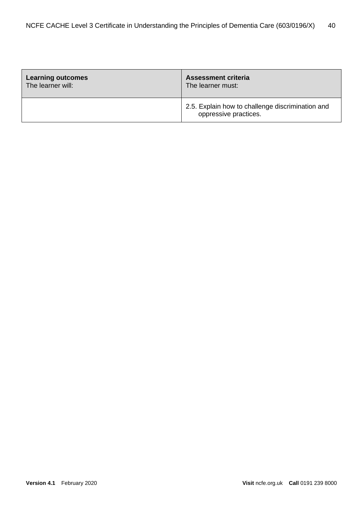| <b>Learning outcomes</b> | <b>Assessment criteria</b>                                                |
|--------------------------|---------------------------------------------------------------------------|
| The learner will:        | The learner must:                                                         |
|                          | 2.5. Explain how to challenge discrimination and<br>oppressive practices. |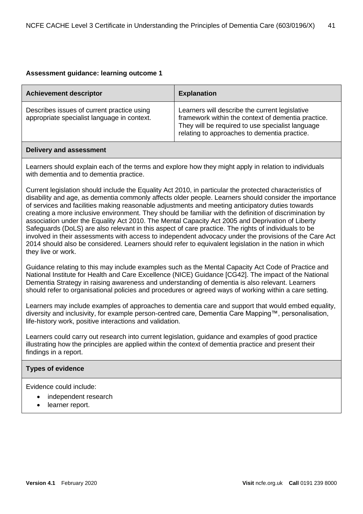| <b>Achievement descriptor</b>                                                             | <b>Explanation</b>                                                                                                                                                                                       |
|-------------------------------------------------------------------------------------------|----------------------------------------------------------------------------------------------------------------------------------------------------------------------------------------------------------|
| Describes issues of current practice using<br>appropriate specialist language in context. | Learners will describe the current legislative<br>framework within the context of dementia practice.<br>They will be required to use specialist language<br>relating to approaches to dementia practice. |
| <b>Delivery and assessment</b>                                                            |                                                                                                                                                                                                          |

Learners should explain each of the terms and explore how they might apply in relation to individuals with dementia and to dementia practice.

Current legislation should include the Equality Act 2010, in particular the protected characteristics of disability and age, as dementia commonly affects older people. Learners should consider the importance of services and facilities making reasonable adjustments and meeting anticipatory duties towards creating a more inclusive environment. They should be familiar with the definition of discrimination by association under the Equality Act 2010. The Mental Capacity Act 2005 and Deprivation of Liberty Safeguards (DoLS) are also relevant in this aspect of care practice. The rights of individuals to be involved in their assessments with access to independent advocacy under the provisions of the Care Act 2014 should also be considered. Learners should refer to equivalent legislation in the nation in which they live or work.

Guidance relating to this may include examples such as the Mental Capacity Act Code of Practice and National Institute for Health and Care Excellence (NICE) Guidance [CG42]. The impact of the National Dementia Strategy in raising awareness and understanding of dementia is also relevant. Learners should refer to organisational policies and procedures or agreed ways of working within a care setting.

Learners may include examples of approaches to dementia care and support that would embed equality, diversity and inclusivity, for example person-centred care, Dementia Care Mapping™, personalisation, life-history work, positive interactions and validation.

Learners could carry out research into current legislation, guidance and examples of good practice illustrating how the principles are applied within the context of dementia practice and present their findings in a report.

#### **Types of evidence**

- independent research
- learner report.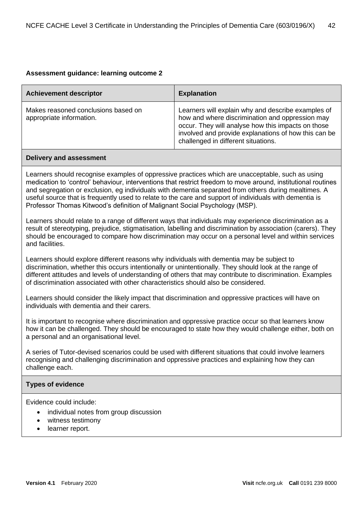| <b>Achievement descriptor</b>                                   | <b>Explanation</b>                                                                                                                                                                                                                                         |
|-----------------------------------------------------------------|------------------------------------------------------------------------------------------------------------------------------------------------------------------------------------------------------------------------------------------------------------|
| Makes reasoned conclusions based on<br>appropriate information. | Learners will explain why and describe examples of<br>how and where discrimination and oppression may<br>occur. They will analyse how this impacts on those<br>involved and provide explanations of how this can be<br>challenged in different situations. |
| <b>Delivery and assessment</b>                                  |                                                                                                                                                                                                                                                            |

Learners should recognise examples of oppressive practices which are unacceptable, such as using medication to 'control' behaviour, interventions that restrict freedom to move around, institutional routines and segregation or exclusion, eg individuals with dementia separated from others during mealtimes. A useful source that is frequently used to relate to the care and support of individuals with dementia is Professor Thomas Kitwood's definition of Malignant Social Psychology (MSP).

Learners should relate to a range of different ways that individuals may experience discrimination as a result of stereotyping, prejudice, stigmatisation, labelling and discrimination by association (carers). They should be encouraged to compare how discrimination may occur on a personal level and within services and facilities.

Learners should explore different reasons why individuals with dementia may be subject to discrimination, whether this occurs intentionally or unintentionally. They should look at the range of different attitudes and levels of understanding of others that may contribute to discrimination. Examples of discrimination associated with other characteristics should also be considered.

Learners should consider the likely impact that discrimination and oppressive practices will have on individuals with dementia and their carers.

It is important to recognise where discrimination and oppressive practice occur so that learners know how it can be challenged. They should be encouraged to state how they would challenge either, both on a personal and an organisational level.

A series of Tutor-devised scenarios could be used with different situations that could involve learners recognising and challenging discrimination and oppressive practices and explaining how they can challenge each.

#### **Types of evidence**

- individual notes from group discussion
- witness testimony
- learner report.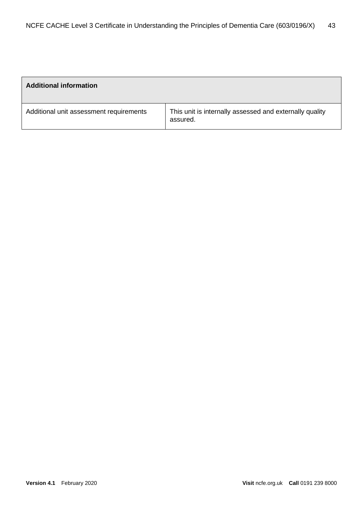| <b>Additional information</b>           |                                                                     |
|-----------------------------------------|---------------------------------------------------------------------|
| Additional unit assessment requirements | This unit is internally assessed and externally quality<br>assured. |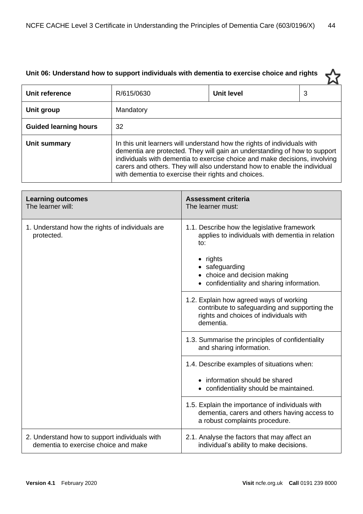| Unit 06: Understand how to support individuals with dementia to exercise choice and rights |                                                                                                                                                                                                                                                                                                                                                                         |                   |   |
|--------------------------------------------------------------------------------------------|-------------------------------------------------------------------------------------------------------------------------------------------------------------------------------------------------------------------------------------------------------------------------------------------------------------------------------------------------------------------------|-------------------|---|
| Unit reference                                                                             | R/615/0630                                                                                                                                                                                                                                                                                                                                                              | <b>Unit level</b> | 3 |
| Unit group                                                                                 | Mandatory                                                                                                                                                                                                                                                                                                                                                               |                   |   |
| <b>Guided learning hours</b>                                                               | 32                                                                                                                                                                                                                                                                                                                                                                      |                   |   |
| Unit summary                                                                               | In this unit learners will understand how the rights of individuals with<br>dementia are protected. They will gain an understanding of how to support<br>individuals with dementia to exercise choice and make decisions, involving<br>carers and others. They will also understand how to enable the individual<br>with dementia to exercise their rights and choices. |                   |   |

| <b>Learning outcomes</b><br>The learner will:                                         | <b>Assessment criteria</b><br>The learner must:                                                                                                 |
|---------------------------------------------------------------------------------------|-------------------------------------------------------------------------------------------------------------------------------------------------|
| 1. Understand how the rights of individuals are<br>protected.                         | 1.1. Describe how the legislative framework<br>applies to individuals with dementia in relation<br>to:                                          |
|                                                                                       | rights<br>safeguarding<br>• choice and decision making<br>confidentiality and sharing information.                                              |
|                                                                                       | 1.2. Explain how agreed ways of working<br>contribute to safeguarding and supporting the<br>rights and choices of individuals with<br>dementia. |
|                                                                                       | 1.3. Summarise the principles of confidentiality<br>and sharing information.                                                                    |
|                                                                                       | 1.4. Describe examples of situations when:                                                                                                      |
|                                                                                       | information should be shared<br>$\bullet$<br>confidentiality should be maintained.                                                              |
|                                                                                       | 1.5. Explain the importance of individuals with<br>dementia, carers and others having access to<br>a robust complaints procedure.               |
| 2. Understand how to support individuals with<br>dementia to exercise choice and make | 2.1. Analyse the factors that may affect an<br>individual's ability to make decisions.                                                          |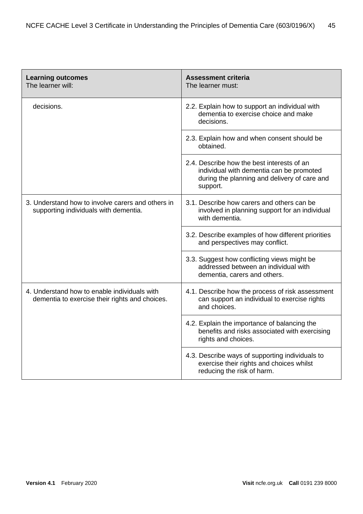| <b>Learning outcomes</b><br>The learner will:                                                  | <b>Assessment criteria</b><br>The learner must:                                                                                                    |
|------------------------------------------------------------------------------------------------|----------------------------------------------------------------------------------------------------------------------------------------------------|
| decisions.                                                                                     | 2.2. Explain how to support an individual with<br>dementia to exercise choice and make<br>decisions.                                               |
|                                                                                                | 2.3. Explain how and when consent should be<br>obtained.                                                                                           |
|                                                                                                | 2.4. Describe how the best interests of an<br>individual with dementia can be promoted<br>during the planning and delivery of care and<br>support. |
| 3. Understand how to involve carers and others in<br>supporting individuals with dementia.     | 3.1. Describe how carers and others can be<br>involved in planning support for an individual<br>with dementia.                                     |
|                                                                                                | 3.2. Describe examples of how different priorities<br>and perspectives may conflict.                                                               |
|                                                                                                | 3.3. Suggest how conflicting views might be<br>addressed between an individual with<br>dementia, carers and others.                                |
| 4. Understand how to enable individuals with<br>dementia to exercise their rights and choices. | 4.1. Describe how the process of risk assessment<br>can support an individual to exercise rights<br>and choices.                                   |
|                                                                                                | 4.2. Explain the importance of balancing the<br>benefits and risks associated with exercising<br>rights and choices.                               |
|                                                                                                | 4.3. Describe ways of supporting individuals to<br>exercise their rights and choices whilst<br>reducing the risk of harm.                          |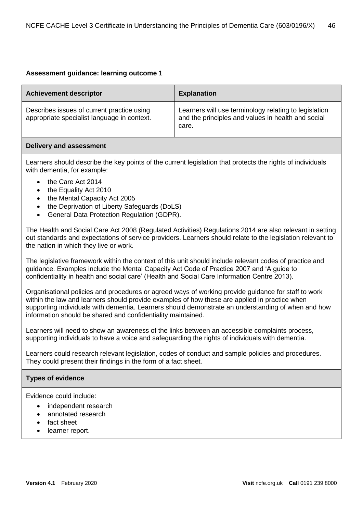| <b>Achievement descriptor</b>                                                             | <b>Explanation</b>                                                                                                   |
|-------------------------------------------------------------------------------------------|----------------------------------------------------------------------------------------------------------------------|
| Describes issues of current practice using<br>appropriate specialist language in context. | Learners will use terminology relating to legislation<br>and the principles and values in health and social<br>care. |

#### **Delivery and assessment**

Learners should describe the key points of the current legislation that protects the rights of individuals with dementia, for example:

- the Care Act 2014
- the Equality Act 2010
- the Mental Capacity Act 2005
- the Deprivation of Liberty Safeguards (DoLS)
- General Data Protection Regulation (GDPR).

The Health and Social Care Act 2008 (Regulated Activities) Regulations 2014 are also relevant in setting out standards and expectations of service providers. Learners should relate to the legislation relevant to the nation in which they live or work.

The legislative framework within the context of this unit should include relevant codes of practice and guidance. Examples include the Mental Capacity Act Code of Practice 2007 and 'A guide to confidentiality in health and social care' (Health and Social Care Information Centre 2013).

Organisational policies and procedures or agreed ways of working provide guidance for staff to work within the law and learners should provide examples of how these are applied in practice when supporting individuals with dementia. Learners should demonstrate an understanding of when and how information should be shared and confidentiality maintained.

Learners will need to show an awareness of the links between an accessible complaints process, supporting individuals to have a voice and safeguarding the rights of individuals with dementia.

Learners could research relevant legislation, codes of conduct and sample policies and procedures. They could present their findings in the form of a fact sheet.

#### **Types of evidence**

- independent research
- annotated research
- fact sheet
- learner report.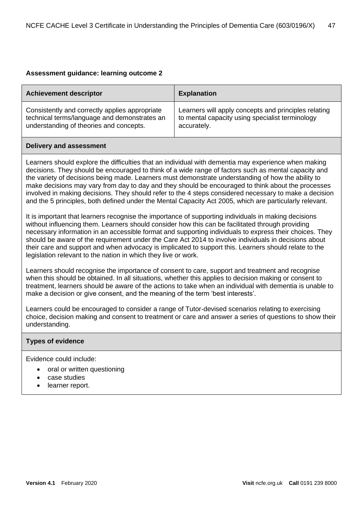| <b>Achievement descriptor</b>                  | <b>Explanation</b>                                   |
|------------------------------------------------|------------------------------------------------------|
| Consistently and correctly applies appropriate | Learners will apply concepts and principles relating |
| technical terms/language and demonstrates an   | to mental capacity using specialist terminology      |
| understanding of theories and concepts.        | accurately.                                          |

#### **Delivery and assessment**

Learners should explore the difficulties that an individual with dementia may experience when making decisions. They should be encouraged to think of a wide range of factors such as mental capacity and the variety of decisions being made. Learners must demonstrate understanding of how the ability to make decisions may vary from day to day and they should be encouraged to think about the processes involved in making decisions. They should refer to the 4 steps considered necessary to make a decision and the 5 principles, both defined under the Mental Capacity Act 2005, which are particularly relevant.

It is important that learners recognise the importance of supporting individuals in making decisions without influencing them. Learners should consider how this can be facilitated through providing necessary information in an accessible format and supporting individuals to express their choices. They should be aware of the requirement under the Care Act 2014 to involve individuals in decisions about their care and support and when advocacy is implicated to support this. Learners should relate to the legislation relevant to the nation in which they live or work.

Learners should recognise the importance of consent to care, support and treatment and recognise when this should be obtained. In all situations, whether this applies to decision making or consent to treatment, learners should be aware of the actions to take when an individual with dementia is unable to make a decision or give consent, and the meaning of the term 'best interests'.

Learners could be encouraged to consider a range of Tutor-devised scenarios relating to exercising choice, decision making and consent to treatment or care and answer a series of questions to show their understanding.

#### **Types of evidence**

- oral or written questioning
- case studies
- learner report.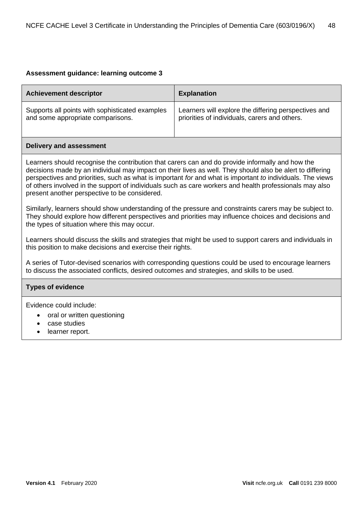| <b>Achievement descriptor</b>                                                                                                                                                                                                                                                                                                                                                                                                                                                           | <b>Explanation</b>                                                                                    |  |
|-----------------------------------------------------------------------------------------------------------------------------------------------------------------------------------------------------------------------------------------------------------------------------------------------------------------------------------------------------------------------------------------------------------------------------------------------------------------------------------------|-------------------------------------------------------------------------------------------------------|--|
| Supports all points with sophisticated examples<br>and some appropriate comparisons.                                                                                                                                                                                                                                                                                                                                                                                                    | Learners will explore the differing perspectives and<br>priorities of individuals, carers and others. |  |
| <b>Delivery and assessment</b>                                                                                                                                                                                                                                                                                                                                                                                                                                                          |                                                                                                       |  |
| Learners should recognise the contribution that carers can and do provide informally and how the<br>decisions made by an individual may impact on their lives as well. They should also be alert to differing<br>perspectives and priorities, such as what is important for and what is important to individuals. The views<br>of others involved in the support of individuals such as care workers and health professionals may also<br>present another perspective to be considered. |                                                                                                       |  |
| Similarly, learners should show understanding of the pressure and constraints carers may be subject to.<br>They should explore how different perspectives and priorities may influence choices and decisions and<br>the types of situation where this may occur.                                                                                                                                                                                                                        |                                                                                                       |  |
| Learners should discuss the skills and strategies that might be used to support carers and individuals in<br>this position to make decisions and exercise their rights.                                                                                                                                                                                                                                                                                                                 |                                                                                                       |  |
| A series of Tutor-devised scenarios with corresponding questions could be used to encourage learners<br>to discuss the associated conflicts, desired outcomes and strategies, and skills to be used.                                                                                                                                                                                                                                                                                    |                                                                                                       |  |
| <b>Types of evidence</b>                                                                                                                                                                                                                                                                                                                                                                                                                                                                |                                                                                                       |  |
|                                                                                                                                                                                                                                                                                                                                                                                                                                                                                         |                                                                                                       |  |

- oral or written questioning
- case studies
- learner report.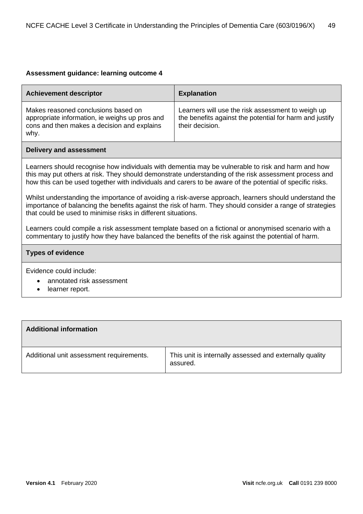| <b>Achievement descriptor</b>                                                                                                                                                                                                                                                                                            | <b>Explanation</b>                                                                                                              |
|--------------------------------------------------------------------------------------------------------------------------------------------------------------------------------------------------------------------------------------------------------------------------------------------------------------------------|---------------------------------------------------------------------------------------------------------------------------------|
| Makes reasoned conclusions based on<br>appropriate information, ie weighs up pros and<br>cons and then makes a decision and explains<br>why.                                                                                                                                                                             | Learners will use the risk assessment to weigh up<br>the benefits against the potential for harm and justify<br>their decision. |
| <b>Delivery and assessment</b>                                                                                                                                                                                                                                                                                           |                                                                                                                                 |
| Learners should recognise how individuals with dementia may be vulnerable to risk and harm and how<br>this may put others at risk. They should demonstrate understanding of the risk assessment process and<br>how this can be used together with individuals and carers to be aware of the potential of specific risks. |                                                                                                                                 |

Whilst understanding the importance of avoiding a risk-averse approach, learners should understand the importance of balancing the benefits against the risk of harm. They should consider a range of strategies that could be used to minimise risks in different situations.

Learners could compile a risk assessment template based on a fictional or anonymised scenario with a commentary to justify how they have balanced the benefits of the risk against the potential of harm.

#### **Types of evidence**

- annotated risk assessment
- learner report.

| <b>Additional information</b>            |                                                                     |
|------------------------------------------|---------------------------------------------------------------------|
| Additional unit assessment requirements. | This unit is internally assessed and externally quality<br>assured. |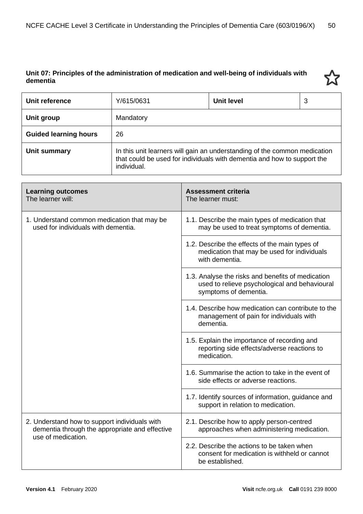#### **Unit 07: Principles of the administration of medication and well-being of individuals with dementia**



| Unit reference               | Y/615/0631                                                                                                                                                          | Unit level | 3 |
|------------------------------|---------------------------------------------------------------------------------------------------------------------------------------------------------------------|------------|---|
| Unit group                   | Mandatory                                                                                                                                                           |            |   |
| <b>Guided learning hours</b> | 26                                                                                                                                                                  |            |   |
| Unit summary                 | In this unit learners will gain an understanding of the common medication<br>that could be used for individuals with dementia and how to support the<br>individual. |            |   |

| <b>Learning outcomes</b><br>The learner will:                                                                         | <b>Assessment criteria</b><br>The learner must:                                                                             |
|-----------------------------------------------------------------------------------------------------------------------|-----------------------------------------------------------------------------------------------------------------------------|
| 1. Understand common medication that may be<br>used for individuals with dementia.                                    | 1.1. Describe the main types of medication that<br>may be used to treat symptoms of dementia.                               |
|                                                                                                                       | 1.2. Describe the effects of the main types of<br>medication that may be used for individuals<br>with dementia.             |
|                                                                                                                       | 1.3. Analyse the risks and benefits of medication<br>used to relieve psychological and behavioural<br>symptoms of dementia. |
|                                                                                                                       | 1.4. Describe how medication can contribute to the<br>management of pain for individuals with<br>dementia.                  |
|                                                                                                                       | 1.5. Explain the importance of recording and<br>reporting side effects/adverse reactions to<br>medication.                  |
|                                                                                                                       | 1.6. Summarise the action to take in the event of<br>side effects or adverse reactions.                                     |
|                                                                                                                       | 1.7. Identify sources of information, guidance and<br>support in relation to medication.                                    |
| 2. Understand how to support individuals with<br>dementia through the appropriate and effective<br>use of medication. | 2.1. Describe how to apply person-centred<br>approaches when administering medication.                                      |
|                                                                                                                       | 2.2. Describe the actions to be taken when<br>consent for medication is withheld or cannot<br>be established.               |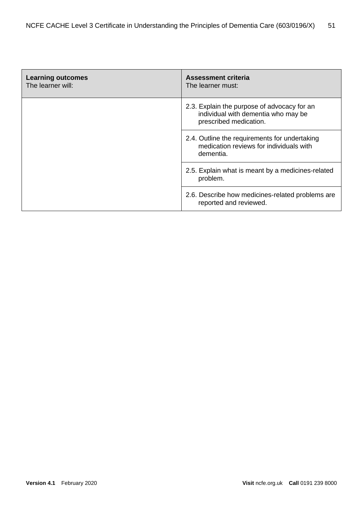| <b>Learning outcomes</b><br>The learner will: | <b>Assessment criteria</b><br>The learner must:                                                              |
|-----------------------------------------------|--------------------------------------------------------------------------------------------------------------|
|                                               | 2.3. Explain the purpose of advocacy for an<br>individual with dementia who may be<br>prescribed medication. |
|                                               | 2.4. Outline the requirements for undertaking<br>medication reviews for individuals with<br>dementia.        |
|                                               | 2.5. Explain what is meant by a medicines-related<br>problem.                                                |
|                                               | 2.6. Describe how medicines-related problems are<br>reported and reviewed.                                   |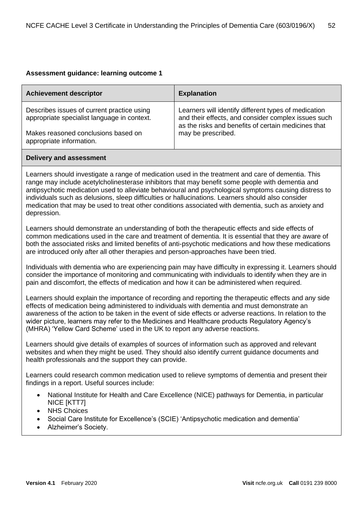| <b>Achievement descriptor</b>                                                             | <b>Explanation</b>                                                                                                                                                 |
|-------------------------------------------------------------------------------------------|--------------------------------------------------------------------------------------------------------------------------------------------------------------------|
| Describes issues of current practice using<br>appropriate specialist language in context. | Learners will identify different types of medication<br>and their effects, and consider complex issues such<br>as the risks and benefits of certain medicines that |
| Makes reasoned conclusions based on<br>appropriate information.                           | may be prescribed.                                                                                                                                                 |
| <b>Delivery and assessment</b>                                                            |                                                                                                                                                                    |

Learners should investigate a range of medication used in the treatment and care of dementia. This range may include acetylcholinesterase inhibitors that may benefit some people with dementia and antipsychotic medication used to alleviate behavioural and psychological symptoms causing distress to individuals such as delusions, sleep difficulties or hallucinations. Learners should also consider medication that may be used to treat other conditions associated with dementia, such as anxiety and depression.

Learners should demonstrate an understanding of both the therapeutic effects and side effects of common medications used in the care and treatment of dementia. It is essential that they are aware of both the associated risks and limited benefits of anti-psychotic medications and how these medications are introduced only after all other therapies and person-approaches have been tried.

Individuals with dementia who are experiencing pain may have difficulty in expressing it. Learners should consider the importance of monitoring and communicating with individuals to identify when they are in pain and discomfort, the effects of medication and how it can be administered when required.

Learners should explain the importance of recording and reporting the therapeutic effects and any side effects of medication being administered to individuals with dementia and must demonstrate an awareness of the action to be taken in the event of side effects or adverse reactions. In relation to the wider picture, learners may refer to the Medicines and Healthcare products Regulatory Agency's (MHRA) 'Yellow Card Scheme' used in the UK to report any adverse reactions.

Learners should give details of examples of sources of information such as approved and relevant websites and when they might be used. They should also identify current guidance documents and health professionals and the support they can provide.

Learners could research common medication used to relieve symptoms of dementia and present their findings in a report. Useful sources include:

- National Institute for Health and Care Excellence (NICE) pathways for Dementia, in particular NICE [KTT7]
- NHS Choices
- Social Care Institute for Excellence's (SCIE) 'Antipsychotic medication and dementia'
- Alzheimer's Society.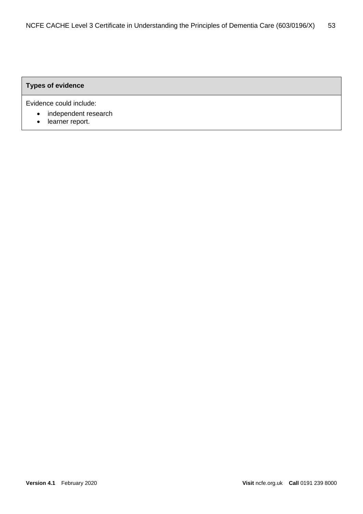# **Types of evidence**

- independent research
- learner report.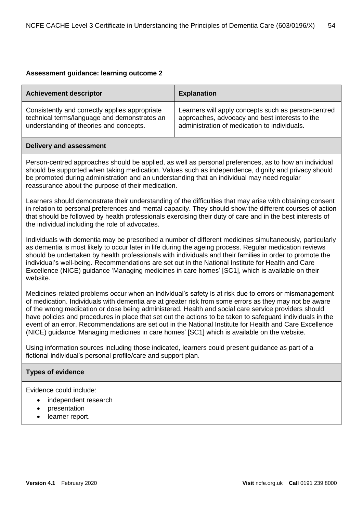| <b>Achievement descriptor</b>                  | <b>Explanation</b>                                  |
|------------------------------------------------|-----------------------------------------------------|
| Consistently and correctly applies appropriate | Learners will apply concepts such as person-centred |
| technical terms/language and demonstrates an   | approaches, advocacy and best interests to the      |
| understanding of theories and concepts.        | administration of medication to individuals.        |

#### **Delivery and assessment**

Person-centred approaches should be applied, as well as personal preferences, as to how an individual should be supported when taking medication. Values such as independence, dignity and privacy should be promoted during administration and an understanding that an individual may need regular reassurance about the purpose of their medication.

Learners should demonstrate their understanding of the difficulties that may arise with obtaining consent in relation to personal preferences and mental capacity. They should show the different courses of action that should be followed by health professionals exercising their duty of care and in the best interests of the individual including the role of advocates.

Individuals with dementia may be prescribed a number of different medicines simultaneously, particularly as dementia is most likely to occur later in life during the ageing process. Regular medication reviews should be undertaken by health professionals with individuals and their families in order to promote the individual's well-being. Recommendations are set out in the National Institute for Health and Care Excellence (NICE) guidance 'Managing medicines in care homes' [SC1], which is available on their website.

Medicines-related problems occur when an individual's safety is at risk due to errors or mismanagement of medication. Individuals with dementia are at greater risk from some errors as they may not be aware of the wrong medication or dose being administered. Health and social care service providers should have policies and procedures in place that set out the actions to be taken to safeguard individuals in the event of an error. Recommendations are set out in the National Institute for Health and Care Excellence (NICE) guidance 'Managing medicines in care homes' [SC1] which is available on the website.

Using information sources including those indicated, learners could present guidance as part of a fictional individual's personal profile/care and support plan.

#### **Types of evidence**

- independent research
- presentation
- learner report.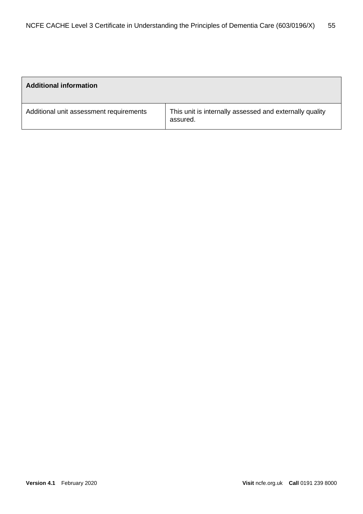| <b>Additional information</b>           |                                                                     |
|-----------------------------------------|---------------------------------------------------------------------|
| Additional unit assessment requirements | This unit is internally assessed and externally quality<br>assured. |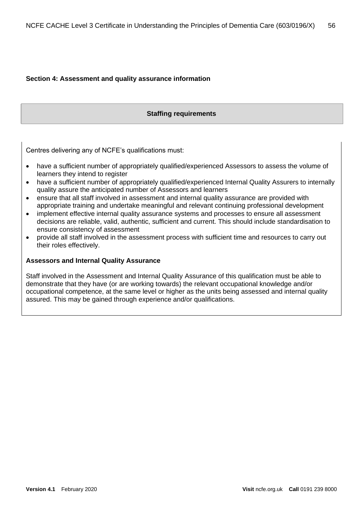#### **Section 4: Assessment and quality assurance information**

#### **Staffing requirements**

Centres delivering any of NCFE's qualifications must:

- have a sufficient number of appropriately qualified/experienced Assessors to assess the volume of learners they intend to register
- have a sufficient number of appropriately qualified/experienced Internal Quality Assurers to internally quality assure the anticipated number of Assessors and learners
- ensure that all staff involved in assessment and internal quality assurance are provided with appropriate training and undertake meaningful and relevant continuing professional development
- implement effective internal quality assurance systems and processes to ensure all assessment decisions are reliable, valid, authentic, sufficient and current. This should include standardisation to ensure consistency of assessment
- provide all staff involved in the assessment process with sufficient time and resources to carry out their roles effectively.

#### **Assessors and Internal Quality Assurance**

Staff involved in the Assessment and Internal Quality Assurance of this qualification must be able to demonstrate that they have (or are working towards) the relevant occupational knowledge and/or occupational competence, at the same level or higher as the units being assessed and internal quality assured. This may be gained through experience and/or qualifications.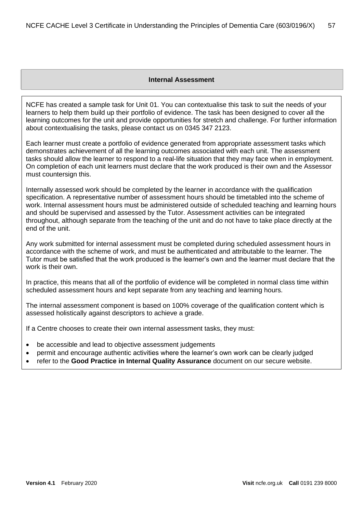#### **Internal Assessment**

NCFE has created a sample task for Unit 01. You can contextualise this task to suit the needs of your learners to help them build up their portfolio of evidence. The task has been designed to cover all the learning outcomes for the unit and provide opportunities for stretch and challenge. For further information about contextualising the tasks, please contact us on 0345 347 2123.

Each learner must create a portfolio of evidence generated from appropriate assessment tasks which demonstrates achievement of all the learning outcomes associated with each unit. The assessment tasks should allow the learner to respond to a real-life situation that they may face when in employment. On completion of each unit learners must declare that the work produced is their own and the Assessor must countersign this.

Internally assessed work should be completed by the learner in accordance with the qualification specification. A representative number of assessment hours should be timetabled into the scheme of work. Internal assessment hours must be administered outside of scheduled teaching and learning hours and should be supervised and assessed by the Tutor. Assessment activities can be integrated throughout, although separate from the teaching of the unit and do not have to take place directly at the end of the unit.

Any work submitted for internal assessment must be completed during scheduled assessment hours in accordance with the scheme of work, and must be authenticated and attributable to the learner. The Tutor must be satisfied that the work produced is the learner's own and the learner must declare that the work is their own.

In practice, this means that all of the portfolio of evidence will be completed in normal class time within scheduled assessment hours and kept separate from any teaching and learning hours.

The internal assessment component is based on 100% coverage of the qualification content which is assessed holistically against descriptors to achieve a grade.

If a Centre chooses to create their own internal assessment tasks, they must:

- be accessible and lead to objective assessment judgements
- permit and encourage authentic activities where the learner's own work can be clearly judged
- refer to the **Good Practice in Internal Quality Assurance** document on our secure website.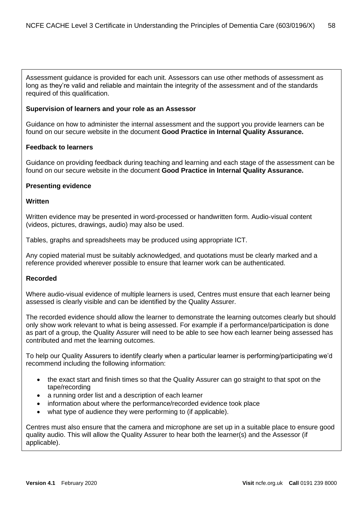Assessment guidance is provided for each unit. Assessors can use other methods of assessment as long as they're valid and reliable and maintain the integrity of the assessment and of the standards required of this qualification.

#### **Supervision of learners and your role as an Assessor**

Guidance on how to administer the internal assessment and the support you provide learners can be found on our secure website in the document **Good Practice in Internal Quality Assurance.**

#### **Feedback to learners**

Guidance on providing feedback during teaching and learning and each stage of the assessment can be found on our secure website in the document **Good Practice in Internal Quality Assurance.**

#### **Presenting evidence**

#### **Written**

Written evidence may be presented in word-processed or handwritten form. Audio-visual content (videos, pictures, drawings, audio) may also be used.

Tables, graphs and spreadsheets may be produced using appropriate ICT.

Any copied material must be suitably acknowledged, and quotations must be clearly marked and a reference provided wherever possible to ensure that learner work can be authenticated.

#### **Recorded**

Where audio-visual evidence of multiple learners is used, Centres must ensure that each learner being assessed is clearly visible and can be identified by the Quality Assurer.

The recorded evidence should allow the learner to demonstrate the learning outcomes clearly but should only show work relevant to what is being assessed. For example if a performance/participation is done as part of a group, the Quality Assurer will need to be able to see how each learner being assessed has contributed and met the learning outcomes.

To help our Quality Assurers to identify clearly when a particular learner is performing/participating we'd recommend including the following information:

- the exact start and finish times so that the Quality Assurer can go straight to that spot on the tape/recording
- a running order list and a description of each learner
- information about where the performance/recorded evidence took place
- what type of audience they were performing to (if applicable).

Centres must also ensure that the camera and microphone are set up in a suitable place to ensure good quality audio. This will allow the Quality Assurer to hear both the learner(s) and the Assessor (if applicable).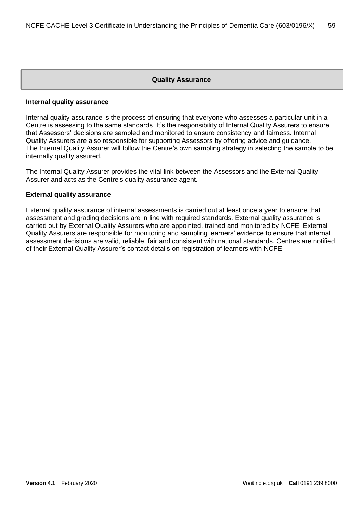#### **Quality Assurance**

#### **Internal quality assurance**

Internal quality assurance is the process of ensuring that everyone who assesses a particular unit in a Centre is assessing to the same standards. It's the responsibility of Internal Quality Assurers to ensure that Assessors' decisions are sampled and monitored to ensure consistency and fairness. Internal Quality Assurers are also responsible for supporting Assessors by offering advice and guidance. The Internal Quality Assurer will follow the Centre's own sampling strategy in selecting the sample to be internally quality assured.

The Internal Quality Assurer provides the vital link between the Assessors and the External Quality Assurer and acts as the Centre's quality assurance agent.

#### **External quality assurance**

External quality assurance of internal assessments is carried out at least once a year to ensure that assessment and grading decisions are in line with required standards. External quality assurance is carried out by External Quality Assurers who are appointed, trained and monitored by NCFE. External Quality Assurers are responsible for monitoring and sampling learners' evidence to ensure that internal assessment decisions are valid, reliable, fair and consistent with national standards. Centres are notified of their External Quality Assurer's contact details on registration of learners with NCFE.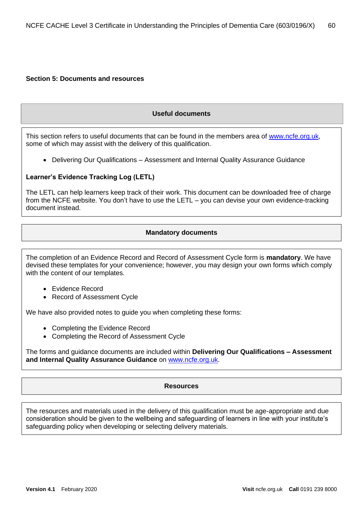#### **Section 5: Documents and resources**

#### **Useful documents**

This section refers to useful documents that can be found in the members area of [www.ncfe.org.uk,](http://www.ncfe.org.uk/) some of which may assist with the delivery of this qualification.

• Delivering Our Qualifications – Assessment and Internal Quality Assurance Guidance

#### **Learner's Evidence Tracking Log (LETL)**

The LETL can help learners keep track of their work. This document can be downloaded free of charge from the NCFE website. You don't have to use the LETL – you can devise your own evidence-tracking document instead.

#### **Mandatory documents**

The completion of an Evidence Record and Record of Assessment Cycle form is **mandatory**. We have devised these templates for your convenience; however, you may design your own forms which comply with the content of our templates.

- Evidence Record
- Record of Assessment Cycle

We have also provided notes to guide you when completing these forms:

- Completing the Evidence Record
- Completing the Record of Assessment Cycle

The forms and guidance documents are included within **Delivering Our Qualifications – Assessment and Internal Quality Assurance Guidance** on [www.ncfe.org.uk.](http://www.ncfe.org.uk/)

#### **Resources**

The resources and materials used in the delivery of this qualification must be age-appropriate and due consideration should be given to the wellbeing and safeguarding of learners in line with your institute's safeguarding policy when developing or selecting delivery materials.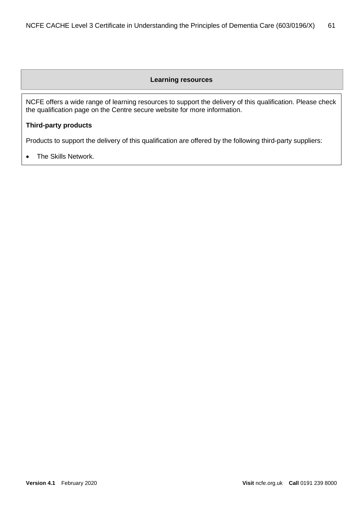#### **Learning resources**

NCFE offers a wide range of learning resources to support the delivery of this qualification. Please check the qualification page on the Centre secure website for more information.

#### **Third-party products**

Products to support the delivery of this qualification are offered by the following third-party suppliers:

• The Skills Network.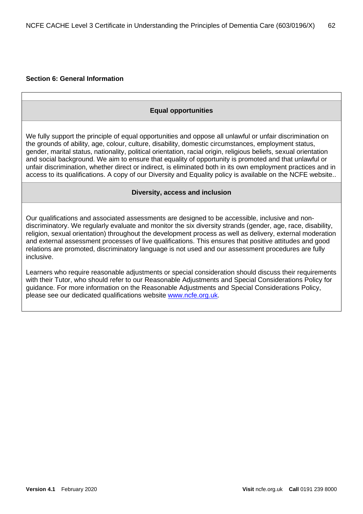#### **Section 6: General Information**

#### **Equal opportunities**

We fully support the principle of equal opportunities and oppose all unlawful or unfair discrimination on the grounds of ability, age, colour, culture, disability, domestic circumstances, employment status, gender, marital status, nationality, political orientation, racial origin, religious beliefs, sexual orientation and social background. We aim to ensure that equality of opportunity is promoted and that unlawful or unfair discrimination, whether direct or indirect, is eliminated both in its own employment practices and in access to its qualifications. A copy of our Diversity and Equality policy is available on the NCFE website..

#### **Diversity, access and inclusion**

Our qualifications and associated assessments are designed to be accessible, inclusive and nondiscriminatory. We regularly evaluate and monitor the six diversity strands (gender, age, race, disability, religion, sexual orientation) throughout the development process as well as delivery, external moderation and external assessment processes of live qualifications. This ensures that positive attitudes and good relations are promoted, discriminatory language is not used and our assessment procedures are fully inclusive.

Learners who require reasonable adjustments or special consideration should discuss their requirements with their Tutor, who should refer to our Reasonable Adjustments and Special Considerations Policy for guidance. For more information on the Reasonable Adjustments and Special Considerations Policy, please see our dedicated qualifications website [www.ncfe.org.uk.](http://www.ncfe.org.uk/)